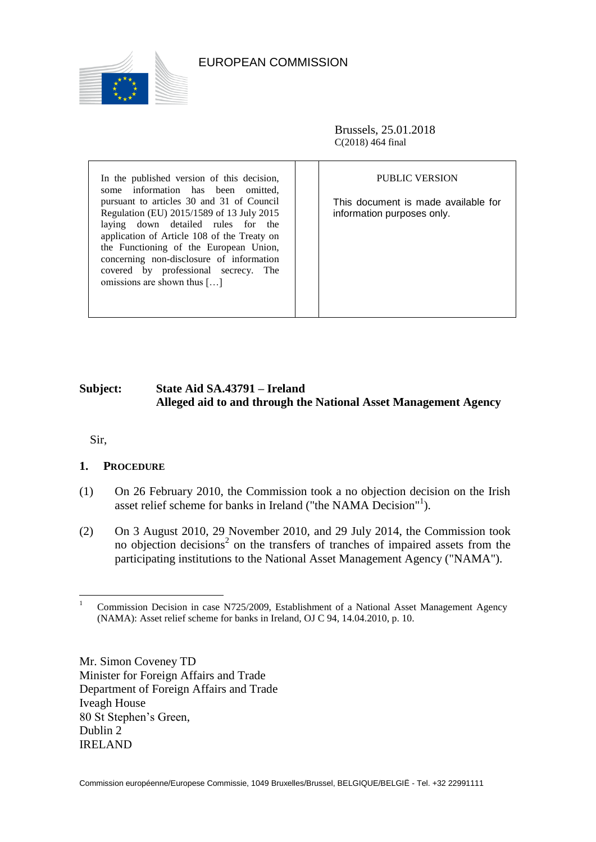

# EUROPEAN COMMISSION

Brussels, 25.01.2018 C(2018) 464 final

In the published version of this decision, some information has been omitted, pursuant to articles 30 and 31 of Council Regulation (EU) 2015/1589 of 13 July 2015 laying down detailed rules for the application of Article 108 of the Treaty on the Functioning of the European Union, concerning non-disclosure of information covered by professional secrecy. The omissions are shown thus […]

#### PUBLIC VERSION

This document is made available for information purposes only.

# **Subject: State Aid SA.43791 – Ireland Alleged aid to and through the National Asset Management Agency**

Sir,

### **1. PROCEDURE**

- (1) On 26 February 2010, the Commission took a no objection decision on the Irish asset relief scheme for banks in Ireland ("the NAMA Decision"<sup>1</sup>).
- <span id="page-0-1"></span><span id="page-0-0"></span>(2) On 3 August 2010, 29 November 2010, and 29 July 2014, the Commission took no objection decisions 2 on the transfers of tranches of impaired assets from the participating institutions to the National Asset Management Agency ("NAMA").

Mr. Simon Coveney TD Minister for Foreign Affairs and Trade Department of Foreign Affairs and Trade Iveagh House 80 St Stephen's Green, Dublin 2 IRELAND

 $\overline{a}$ <sup>1</sup> Commission Decision in case N725/2009, Establishment of a National Asset Management Agency (NAMA): Asset relief scheme for banks in Ireland, OJ C 94, 14.04.2010, p. 10.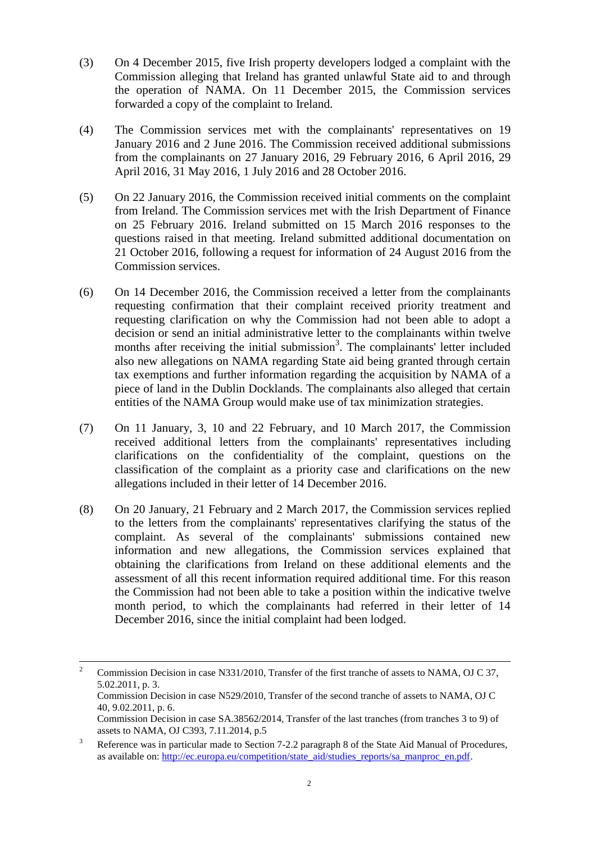- (3) On 4 December 2015, five Irish property developers lodged a complaint with the Commission alleging that Ireland has granted unlawful State aid to and through the operation of NAMA. On 11 December 2015, the Commission services forwarded a copy of the complaint to Ireland.
- (4) The Commission services met with the complainants' representatives on 19 January 2016 and 2 June 2016. The Commission received additional submissions from the complainants on 27 January 2016, 29 February 2016, 6 April 2016, 29 April 2016, 31 May 2016, 1 July 2016 and 28 October 2016.
- (5) On 22 January 2016, the Commission received initial comments on the complaint from Ireland. The Commission services met with the Irish Department of Finance on 25 February 2016. Ireland submitted on 15 March 2016 responses to the questions raised in that meeting. Ireland submitted additional documentation on 21 October 2016, following a request for information of 24 August 2016 from the Commission services.
- <span id="page-1-0"></span>(6) On 14 December 2016, the Commission received a letter from the complainants requesting confirmation that their complaint received priority treatment and requesting clarification on why the Commission had not been able to adopt a decision or send an initial administrative letter to the complainants within twelve months after receiving the initial submission<sup>3</sup>. The complainants' letter included also new allegations on NAMA regarding State aid being granted through certain tax exemptions and further information regarding the acquisition by NAMA of a piece of land in the Dublin Docklands. The complainants also alleged that certain entities of the NAMA Group would make use of tax minimization strategies.
- (7) On 11 January, 3, 10 and 22 February, and 10 March 2017, the Commission received additional letters from the complainants' representatives including clarifications on the confidentiality of the complaint, questions on the classification of the complaint as a priority case and clarifications on the new allegations included in their letter of 14 December 2016.
- (8) On 20 January, 21 February and 2 March 2017, the Commission services replied to the letters from the complainants' representatives clarifying the status of the complaint. As several of the complainants' submissions contained new information and new allegations, the Commission services explained that obtaining the clarifications from Ireland on these additional elements and the assessment of all this recent information required additional time. For this reason the Commission had not been able to take a position within the indicative twelve month period, to which the complainants had referred in their letter of 14 December 2016, since the initial complaint had been lodged.

 $\overline{a}$ <sup>2</sup> Commission Decision in case N331/2010, Transfer of the first tranche of assets to NAMA, OJ C 37, 5.02.2011, p. 3. Commission Decision in case N529/2010, Transfer of the second tranche of assets to NAMA, OJ C 40, 9.02.2011, p. 6. Commission Decision in case SA.38562/2014, Transfer of the last tranches (from tranches 3 to 9) of assets to NAMA, OJ C393, 7.11.2014, p.5

<sup>&</sup>lt;sup>3</sup> Reference was in particular made to Section 7-2.2 paragraph 8 of the State Aid Manual of Procedures, as available on: [http://ec.europa.eu/competition/state\\_aid/studies\\_reports/sa\\_manproc\\_en.pdf.](http://ec.europa.eu/competition/state_aid/studies_reports/sa_manproc_en.pdf)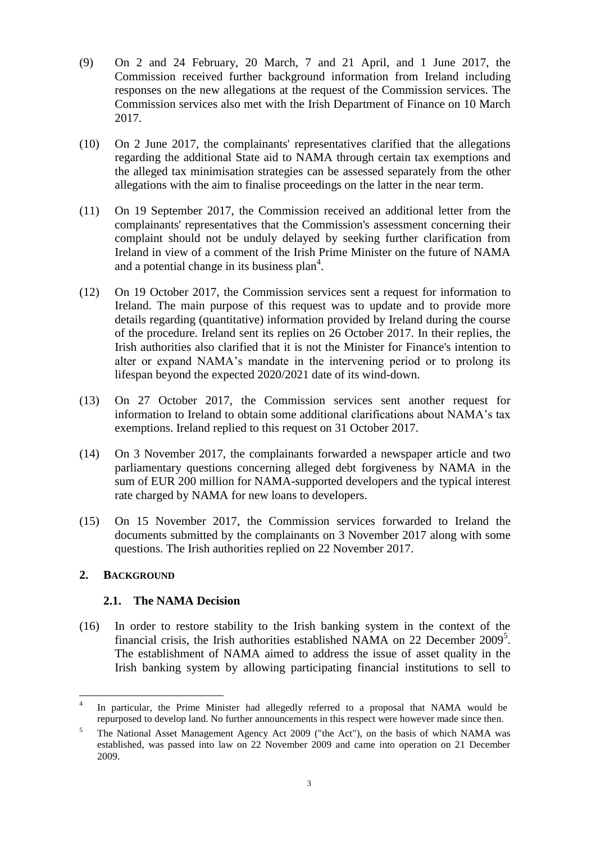- (9) On 2 and 24 February, 20 March, 7 and 21 April, and 1 June 2017, the Commission received further background information from Ireland including responses on the new allegations at the request of the Commission services. The Commission services also met with the Irish Department of Finance on 10 March 2017.
- <span id="page-2-1"></span>(10) On 2 June 2017, the complainants' representatives clarified that the allegations regarding the additional State aid to NAMA through certain tax exemptions and the alleged tax minimisation strategies can be assessed separately from the other allegations with the aim to finalise proceedings on the latter in the near term.
- (11) On 19 September 2017, the Commission received an additional letter from the complainants' representatives that the Commission's assessment concerning their complaint should not be unduly delayed by seeking further clarification from Ireland in view of a comment of the Irish Prime Minister on the future of NAMA and a potential change in its business plan<sup>4</sup>.
- (12) On 19 October 2017, the Commission services sent a request for information to Ireland. The main purpose of this request was to update and to provide more details regarding (quantitative) information provided by Ireland during the course of the procedure. Ireland sent its replies on 26 October 2017. In their replies, the Irish authorities also clarified that it is not the Minister for Finance's intention to alter or expand NAMA's mandate in the intervening period or to prolong its lifespan beyond the expected 2020/2021 date of its wind-down.
- (13) On 27 October 2017, the Commission services sent another request for information to Ireland to obtain some additional clarifications about NAMA's tax exemptions. Ireland replied to this request on 31 October 2017.
- <span id="page-2-0"></span>(14) On 3 November 2017, the complainants forwarded a newspaper article and two parliamentary questions concerning alleged debt forgiveness by NAMA in the sum of EUR 200 million for NAMA-supported developers and the typical interest rate charged by NAMA for new loans to developers.
- (15) On 15 November 2017, the Commission services forwarded to Ireland the documents submitted by the complainants on 3 November 2017 along with some questions. The Irish authorities replied on 22 November 2017.

### **2. BACKGROUND**

### **2.1. The NAMA Decision**

(16) In order to restore stability to the Irish banking system in the context of the financial crisis, the Irish authorities established NAMA on 22 December 2009<sup>5</sup>. The establishment of NAMA aimed to address the issue of asset quality in the Irish banking system by allowing participating financial institutions to sell to

 $\frac{1}{4}$ In particular, the Prime Minister had allegedly referred to a proposal that NAMA would be repurposed to develop land. No further announcements in this respect were however made since then.

<sup>5</sup> The National Asset Management Agency Act 2009 ("the Act"), on the basis of which NAMA was established, was passed into law on 22 November 2009 and came into operation on 21 December 2009.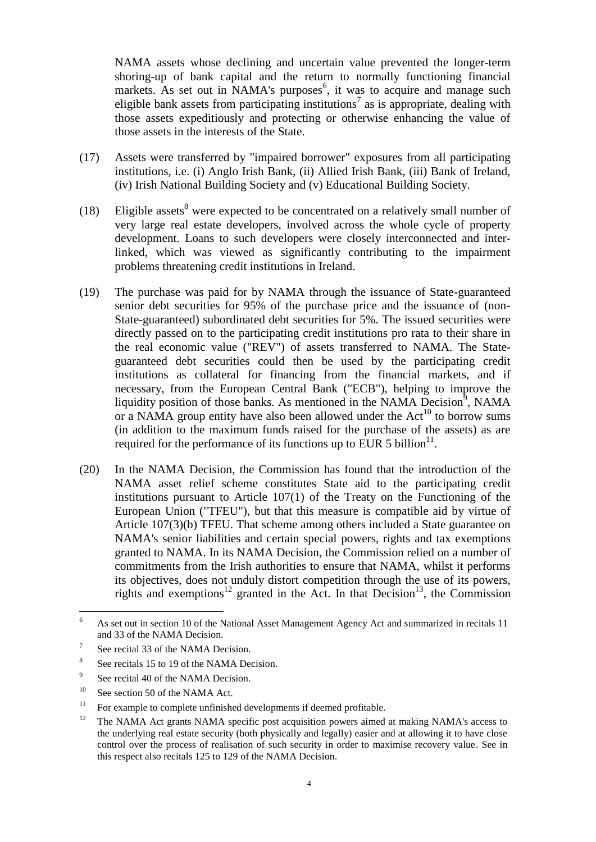NAMA assets whose declining and uncertain value prevented the longer-term shoring-up of bank capital and the return to normally functioning financial markets. As set out in NAMA's purposes<sup>6</sup>, it was to acquire and manage such eligible bank assets from participating institutions<sup>7</sup> as is appropriate, dealing with those assets expeditiously and protecting or otherwise enhancing the value of those assets in the interests of the State.

- (17) Assets were transferred by "impaired borrower" exposures from all participating institutions, i.e. (i) Anglo Irish Bank, (ii) Allied Irish Bank, (iii) Bank of Ireland, (iv) Irish National Building Society and (v) Educational Building Society.
- (18) Eligible assets<sup>8</sup> were expected to be concentrated on a relatively small number of very large real estate developers, involved across the whole cycle of property development. Loans to such developers were closely interconnected and interlinked, which was viewed as significantly contributing to the impairment problems threatening credit institutions in Ireland.
- (19) The purchase was paid for by NAMA through the issuance of State-guaranteed senior debt securities for 95% of the purchase price and the issuance of (non-State-guaranteed) subordinated debt securities for 5%. The issued securities were directly passed on to the participating credit institutions pro rata to their share in the real economic value ("REV") of assets transferred to NAMA. The Stateguaranteed debt securities could then be used by the participating credit institutions as collateral for financing from the financial markets, and if necessary, from the European Central Bank ("ECB"), helping to improve the liquidity position of those banks. As mentioned in the NAMA Decision<sup>9</sup>, NAMA or a NAMA group entity have also been allowed under the  $Act^{10}$  to borrow sums (in addition to the maximum funds raised for the purchase of the assets) as are required for the performance of its functions up to EUR 5 billion<sup>11</sup>.
- (20) In the NAMA Decision, the Commission has found that the introduction of the NAMA asset relief scheme constitutes State aid to the participating credit institutions pursuant to Article 107(1) of the Treaty on the Functioning of the European Union ("TFEU"), but that this measure is compatible aid by virtue of Article 107(3)(b) TFEU. That scheme among others included a State guarantee on NAMA's senior liabilities and certain special powers, rights and tax exemptions granted to NAMA. In its NAMA Decision, the Commission relied on a number of commitments from the Irish authorities to ensure that NAMA, whilst it performs its objectives, does not unduly distort competition through the use of its powers, rights and exemptions<sup>12</sup> granted in the Act. In that Decision<sup>13</sup>, the Commission

 $\sqrt{6}$ <sup>6</sup> As set out in section 10 of the National Asset Management Agency Act and summarized in recitals 11 and 33 of the NAMA Decision.

<sup>7</sup> See recital 33 of the NAMA Decision.

<sup>8</sup> See recitals 15 to 19 of the NAMA Decision.

<sup>9</sup> See recital 40 of the NAMA Decision.

 $10^{\circ}$  See section 50 of the NAMA Act.

 $11$  For example to complete unfinished developments if deemed profitable.

 $12$  The NAMA Act grants NAMA specific post acquisition powers aimed at making NAMA's access to the underlying real estate security (both physically and legally) easier and at allowing it to have close control over the process of realisation of such security in order to maximise recovery value. See in this respect also recitals 125 to 129 of the NAMA Decision.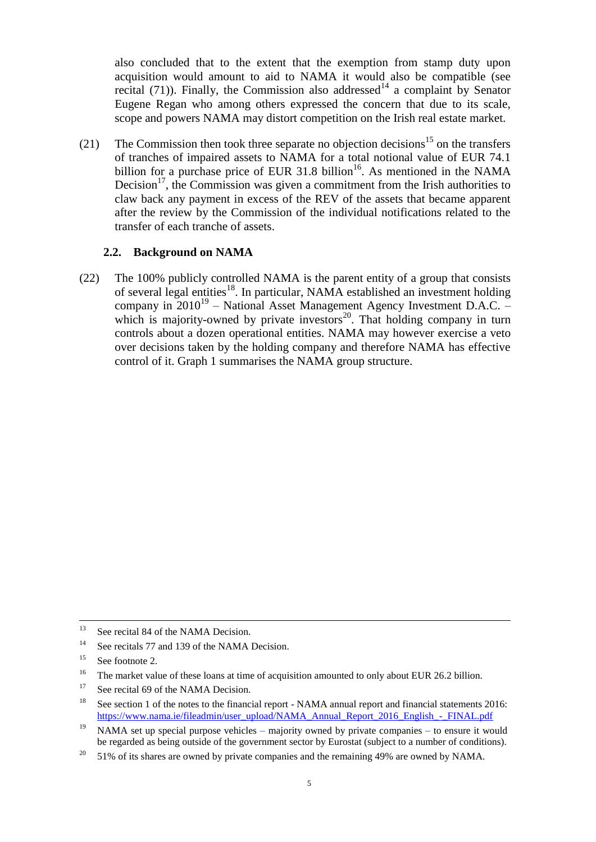also concluded that to the extent that the exemption from stamp duty upon acquisition would amount to aid to NAMA it would also be compatible (see recital [\(71\)\)](#page-21-0). Finally, the Commission also addressed<sup>14</sup> a complaint by Senator Eugene Regan who among others expressed the concern that due to its scale, scope and powers NAMA may distort competition on the Irish real estate market.

(21) The Commission then took three separate no objection decisions<sup>15</sup> on the transfers of tranches of impaired assets to NAMA for a total notional value of EUR 74.1 billion for a purchase price of EUR 31.8 billion<sup>16</sup>. As mentioned in the NAMA Decision<sup>17</sup>, the Commission was given a commitment from the Irish authorities to claw back any payment in excess of the REV of the assets that became apparent after the review by the Commission of the individual notifications related to the transfer of each tranche of assets.

# **2.2. Background on NAMA**

(22) The 100% publicly controlled NAMA is the parent entity of a group that consists of several legal entities<sup>18</sup>. In particular, NAMA established an investment holding company in  $2010^{19}$  – National Asset Management Agency Investment D.A.C. – which is majority-owned by private investors $20$ . That holding company in turn controls about a dozen operational entities. NAMA may however exercise a veto over decisions taken by the holding company and therefore NAMA has effective control of it. Graph 1 summarises the NAMA group structure.

 $13$ See recital 84 of the NAMA Decision.

<sup>&</sup>lt;sup>14</sup> See recitals 77 and 139 of the NAMA Decision.

 $15$  See footnote [2.](#page-0-0)

<sup>&</sup>lt;sup>16</sup> The market value of these loans at time of acquisition amounted to only about EUR 26.2 billion.

<sup>&</sup>lt;sup>17</sup> See recital 69 of the NAMA Decision.

<sup>&</sup>lt;sup>18</sup> See section 1 of the notes to the financial report - NAMA annual report and financial statements 2016: [https://www.nama.ie/fileadmin/user\\_upload/NAMA\\_Annual\\_Report\\_2016\\_English\\_-\\_FINAL.pdf](https://www.nama.ie/fileadmin/user_upload/NAMA_Annual_Report_2016_English_-_FINAL.pdf)

<sup>&</sup>lt;sup>19</sup> NAMA set up special purpose vehicles – majority owned by private companies – to ensure it would be regarded as being outside of the government sector by Eurostat (subject to a number of conditions).

 $20\quad$  51% of its shares are owned by private companies and the remaining 49% are owned by NAMA.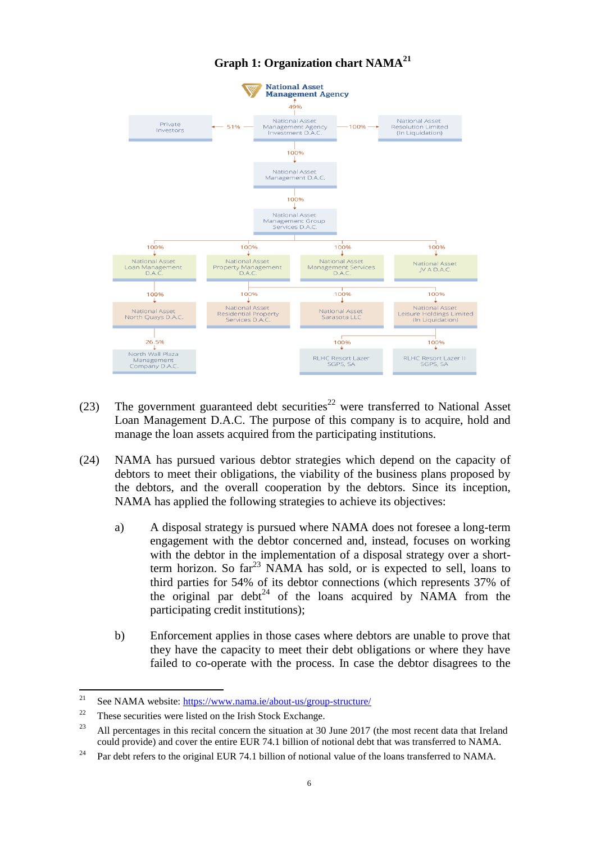

# **Graph 1: Organization chart NAMA<sup>21</sup>**

- <span id="page-5-0"></span>(23) The government guaranteed debt securities<sup>22</sup> were transferred to National Asset Loan Management D.A.C. The purpose of this company is to acquire, hold and manage the loan assets acquired from the participating institutions.
- (24) NAMA has pursued various debtor strategies which depend on the capacity of debtors to meet their obligations, the viability of the business plans proposed by the debtors, and the overall cooperation by the debtors. Since its inception, NAMA has applied the following strategies to achieve its objectives:
	- a) A disposal strategy is pursued where NAMA does not foresee a long-term engagement with the debtor concerned and, instead, focuses on working with the debtor in the implementation of a disposal strategy over a shortterm horizon. So  $far^{23}$  NAMA has sold, or is expected to sell, loans to third parties for 54% of its debtor connections (which represents 37% of the original par debt<sup>24</sup> of the loans acquired by NAMA from the participating credit institutions);
	- b) Enforcement applies in those cases where debtors are unable to prove that they have the capacity to meet their debt obligations or where they have failed to co-operate with the process. In case the debtor disagrees to the

<span id="page-5-1"></span> $21$ See NAMA website:<https://www.nama.ie/about-us/group-structure/>

 $22$  These securities were listed on the Irish Stock Exchange.

<sup>&</sup>lt;sup>23</sup> All percentages in this recital concern the situation at 30 June 2017 (the most recent data that Ireland could provide) and cover the entire EUR 74.1 billion of notional debt that was transferred to NAMA.

<sup>&</sup>lt;sup>24</sup> Par debt refers to the original EUR 74.1 billion of notional value of the loans transferred to NAMA.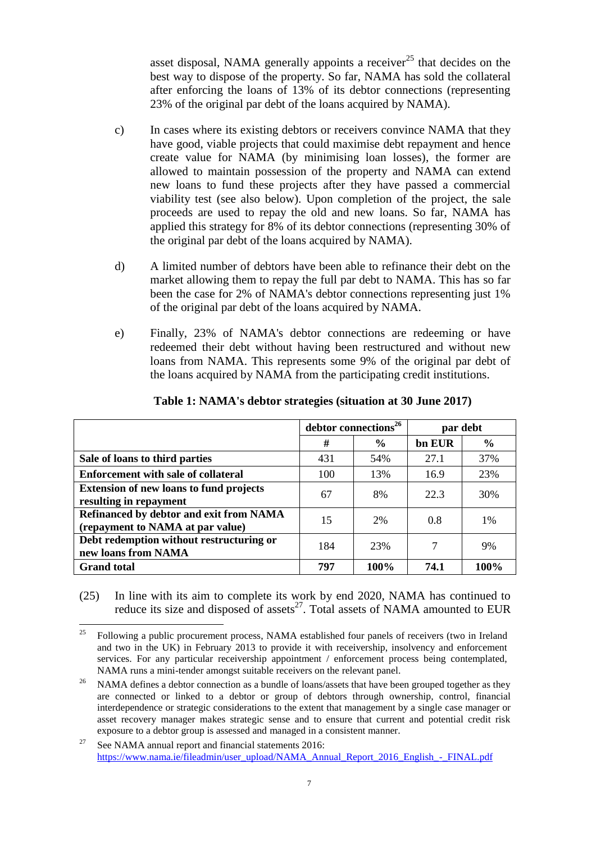asset disposal, NAMA generally appoints a receiver<sup>25</sup> that decides on the best way to dispose of the property. So far, NAMA has sold the collateral after enforcing the loans of 13% of its debtor connections (representing 23% of the original par debt of the loans acquired by NAMA).

- c) In cases where its existing debtors or receivers convince NAMA that they have good, viable projects that could maximise debt repayment and hence create value for NAMA (by minimising loan losses), the former are allowed to maintain possession of the property and NAMA can extend new loans to fund these projects after they have passed a commercial viability test (see also below). Upon completion of the project, the sale proceeds are used to repay the old and new loans. So far, NAMA has applied this strategy for 8% of its debtor connections (representing 30% of the original par debt of the loans acquired by NAMA).
- d) A limited number of debtors have been able to refinance their debt on the market allowing them to repay the full par debt to NAMA. This has so far been the case for 2% of NAMA's debtor connections representing just 1% of the original par debt of the loans acquired by NAMA.
- e) Finally, 23% of NAMA's debtor connections are redeeming or have redeemed their debt without having been restructured and without new loans from NAMA. This represents some 9% of the original par debt of the loans acquired by NAMA from the participating credit institutions.

|                                                                                    | debtor connections <sup>26</sup> |               | par debt |               |
|------------------------------------------------------------------------------------|----------------------------------|---------------|----------|---------------|
|                                                                                    | #                                | $\frac{6}{9}$ | bn EUR   | $\frac{6}{9}$ |
| Sale of loans to third parties                                                     | 431                              | 54%           | 27.1     | 37%           |
| <b>Enforcement with sale of collateral</b>                                         | 100                              | 13%           | 16.9     | 23%           |
| <b>Extension of new loans to fund projects</b><br>resulting in repayment           | 67                               | 8%            | 22.3     | 30%           |
| <b>Refinanced by debtor and exit from NAMA</b><br>(repayment to NAMA at par value) | 15                               | 2%            | 0.8      | $1\%$         |
| Debt redemption without restructuring or<br>new loans from NAMA                    | 184                              | 23%           | 7        | 9%            |
| <b>Grand</b> total                                                                 | 797                              | 100%          | 74.1     | 100%          |

**Table 1: NAMA's debtor strategies (situation at 30 June 2017)**

(25) In line with its aim to complete its work by end 2020, NAMA has continued to reduce its size and disposed of assets<sup>27</sup>. Total assets of NAMA amounted to EUR

<sup>25</sup> <sup>25</sup> Following a public procurement process, NAMA established four panels of receivers (two in Ireland and two in the UK) in February 2013 to provide it with receivership, insolvency and enforcement services. For any particular receivership appointment / enforcement process being contemplated, NAMA runs a mini-tender amongst suitable receivers on the relevant panel.

<sup>&</sup>lt;sup>26</sup> NAMA defines a debtor connection as a bundle of loans/assets that have been grouped together as they are connected or linked to a debtor or group of debtors through ownership, control, financial interdependence or strategic considerations to the extent that management by a single case manager or asset recovery manager makes strategic sense and to ensure that current and potential credit risk exposure to a debtor group is assessed and managed in a consistent manner.

<sup>&</sup>lt;sup>27</sup> See NAMA annual report and financial statements  $2016$ : [https://www.nama.ie/fileadmin/user\\_upload/NAMA\\_Annual\\_Report\\_2016\\_English\\_-\\_FINAL.pdf](https://www.nama.ie/fileadmin/user_upload/NAMA_Annual_Report_2016_English_-_FINAL.pdf)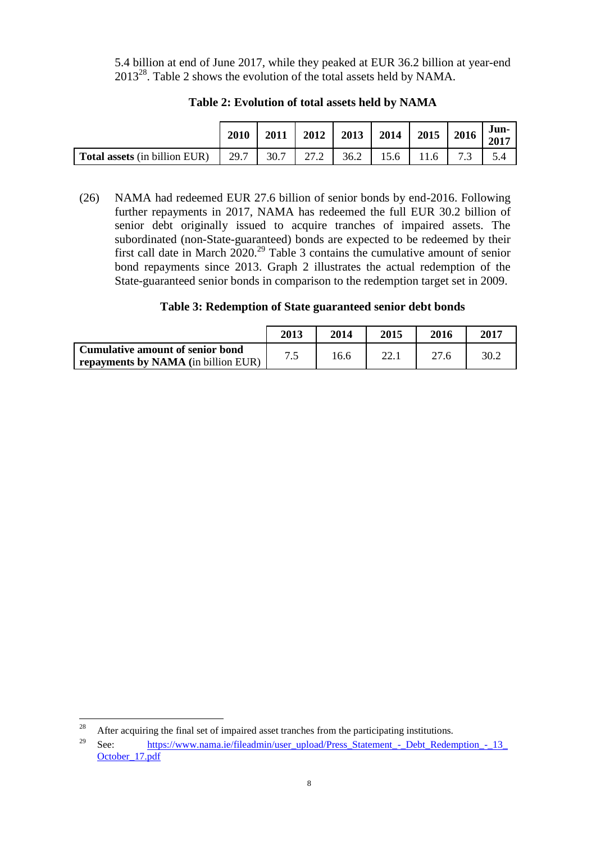5.4 billion at end of June 2017, while they peaked at EUR 36.2 billion at year-end 2013 28 . Table 2 shows the evolution of the total assets held by NAMA.

|                                      | 2010 | 2011 | 2012 | 2013 | 2014 | 2015 | 2016 | Jun-<br>2017 |
|--------------------------------------|------|------|------|------|------|------|------|--------------|
| <b>Total assets</b> (in billion EUR) | 29.7 | 30.7 | 27.2 | 36.2 | 15.6 | 11.6 | 73   |              |

**Table 2: Evolution of total assets held by NAMA**

<span id="page-7-0"></span>(26) NAMA had redeemed EUR 27.6 billion of senior bonds by end-2016. Following further repayments in 2017, NAMA has redeemed the full EUR 30.2 billion of senior debt originally issued to acquire tranches of impaired assets. The subordinated (non-State-guaranteed) bonds are expected to be redeemed by their first call date in March 2020.<sup>29</sup> Table 3 contains the cumulative amount of senior bond repayments since 2013. Graph 2 illustrates the actual redemption of the State-guaranteed senior bonds in comparison to the redemption target set in 2009.

# **Table 3: Redemption of State guaranteed senior debt bonds**

|                                     | 2013  | 2014 | 2015 | 2016 | 2017 |
|-------------------------------------|-------|------|------|------|------|
| Cumulative amount of senior bond    | ים די | 16.6 |      |      | 30.2 |
| repayments by NAMA (in billion EUR) |       |      |      |      |      |

 $28\,$ After acquiring the final set of impaired asset tranches from the participating institutions.

<sup>&</sup>lt;sup>29</sup> See: [https://www.nama.ie/fileadmin/user\\_upload/Press\\_Statement\\_-\\_Debt\\_Redemption\\_-\\_13\\_](https://www.nama.ie/fileadmin/user_upload/Press_Statement_-_Debt_Redemption_-_13_October_17.pdf) [October\\_17.pdf](https://www.nama.ie/fileadmin/user_upload/Press_Statement_-_Debt_Redemption_-_13_October_17.pdf)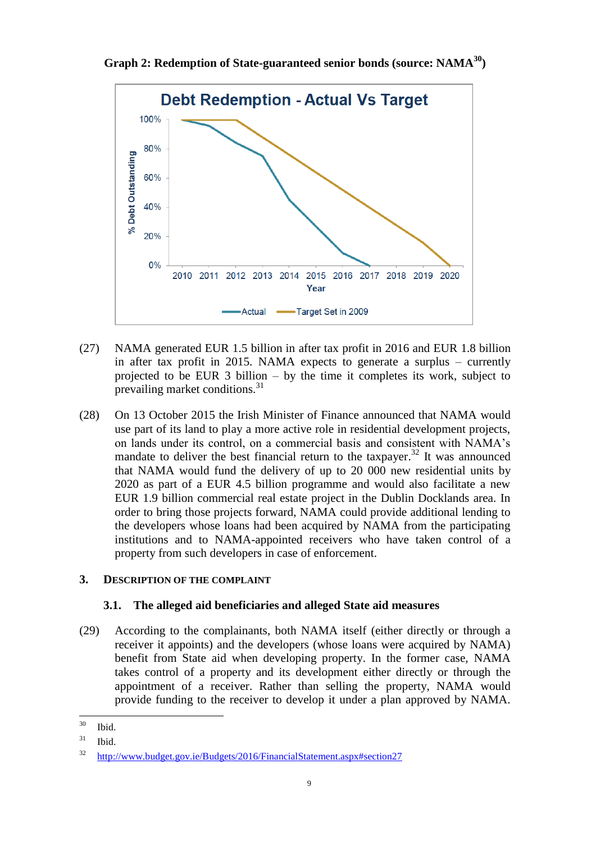**Graph 2: Redemption of State-guaranteed senior bonds (source: NAMA<sup>30</sup>)**



- (27) NAMA generated EUR 1.5 billion in after tax profit in 2016 and EUR 1.8 billion in after tax profit in 2015. NAMA expects to generate a surplus – currently projected to be EUR 3 billion – by the time it completes its work, subject to prevailing market conditions.<sup>31</sup>
- (28) On 13 October 2015 the Irish Minister of Finance announced that NAMA would use part of its land to play a more active role in residential development projects, on lands under its control, on a commercial basis and consistent with NAMA's mandate to deliver the best financial return to the taxpayer.<sup>32</sup> It was announced that NAMA would fund the delivery of up to 20 000 new residential units by 2020 as part of a EUR 4.5 billion programme and would also facilitate a new EUR 1.9 billion commercial real estate project in the Dublin Docklands area. In order to bring those projects forward, NAMA could provide additional lending to the developers whose loans had been acquired by NAMA from the participating institutions and to NAMA-appointed receivers who have taken control of a property from such developers in case of enforcement.

### **3. DESCRIPTION OF THE COMPLAINT**

# **3.1. The alleged aid beneficiaries and alleged State aid measures**

<span id="page-8-0"></span>(29) According to the complainants, both NAMA itself (either directly or through a receiver it appoints) and the developers (whose loans were acquired by NAMA) benefit from State aid when developing property. In the former case, NAMA takes control of a property and its development either directly or through the appointment of a receiver. Rather than selling the property, NAMA would provide funding to the receiver to develop it under a plan approved by NAMA.

<sup>30</sup> Ibid.

 $31$  Ibid.

<sup>32</sup> <http://www.budget.gov.ie/Budgets/2016/FinancialStatement.aspx#section27>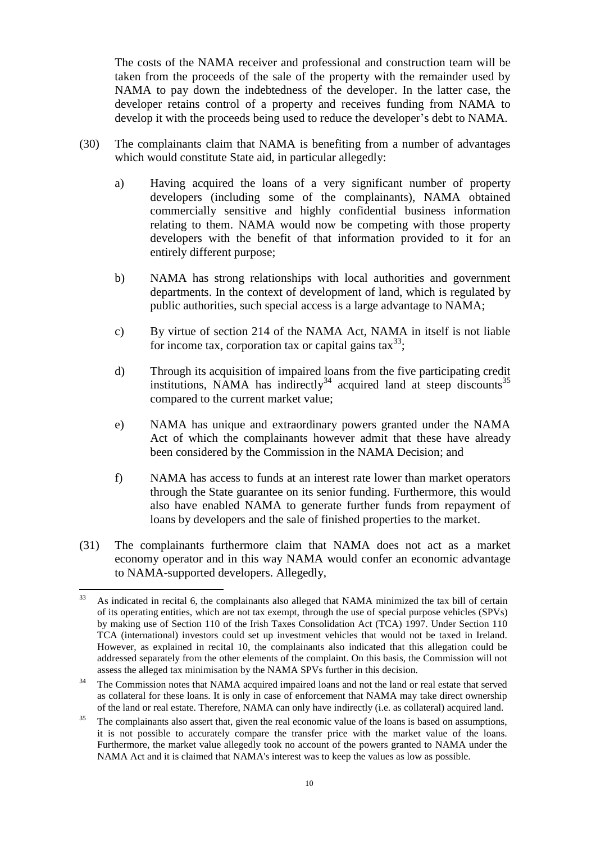The costs of the NAMA receiver and professional and construction team will be taken from the proceeds of the sale of the property with the remainder used by NAMA to pay down the indebtedness of the developer. In the latter case, the developer retains control of a property and receives funding from NAMA to develop it with the proceeds being used to reduce the developer's debt to NAMA.

- <span id="page-9-3"></span><span id="page-9-2"></span><span id="page-9-1"></span>(30) The complainants claim that NAMA is benefiting from a number of advantages which would constitute State aid, in particular allegedly:
	- a) Having acquired the loans of a very significant number of property developers (including some of the complainants), NAMA obtained commercially sensitive and highly confidential business information relating to them. NAMA would now be competing with those property developers with the benefit of that information provided to it for an entirely different purpose;
	- b) NAMA has strong relationships with local authorities and government departments. In the context of development of land, which is regulated by public authorities, such special access is a large advantage to NAMA;
	- c) By virtue of section 214 of the NAMA Act, NAMA in itself is not liable for income tax, corporation tax or capital gains  $\tanes{33}$ ;
	- d) Through its acquisition of impaired loans from the five participating credit institutions, NAMA has indirectly<sup>34</sup> acquired land at steep discounts<sup>35</sup> compared to the current market value;
	- e) NAMA has unique and extraordinary powers granted under the NAMA Act of which the complainants however admit that these have already been considered by the Commission in the NAMA Decision; and
	- f) NAMA has access to funds at an interest rate lower than market operators through the State guarantee on its senior funding. Furthermore, this would also have enabled NAMA to generate further funds from repayment of loans by developers and the sale of finished properties to the market.
- <span id="page-9-6"></span><span id="page-9-5"></span><span id="page-9-4"></span><span id="page-9-0"></span>(31) The complainants furthermore claim that NAMA does not act as a market economy operator and in this way NAMA would confer an economic advantage to NAMA-supported developers. Allegedly,

<sup>33</sup> <sup>33</sup> As indicated in recital 6, the complainants also alleged that NAMA minimized the tax bill of certain of its operating entities, which are not tax exempt, through the use of special purpose vehicles (SPVs) by making use of Section 110 of the Irish Taxes Consolidation Act (TCA) 1997. Under Section 110 TCA (international) investors could set up investment vehicles that would not be taxed in Ireland. However, as explained in recital 10, the complainants also indicated that this allegation could be addressed separately from the other elements of the complaint. On this basis, the Commission will not assess the alleged tax minimisation by the NAMA SPVs further in this decision.

<sup>&</sup>lt;sup>34</sup> The Commission notes that NAMA acquired impaired loans and not the land or real estate that served as collateral for these loans. It is only in case of enforcement that NAMA may take direct ownership of the land or real estate. Therefore, NAMA can only have indirectly (i.e. as collateral) acquired land.

The complainants also assert that, given the real economic value of the loans is based on assumptions, it is not possible to accurately compare the transfer price with the market value of the loans. Furthermore, the market value allegedly took no account of the powers granted to NAMA under the NAMA Act and it is claimed that NAMA's interest was to keep the values as low as possible.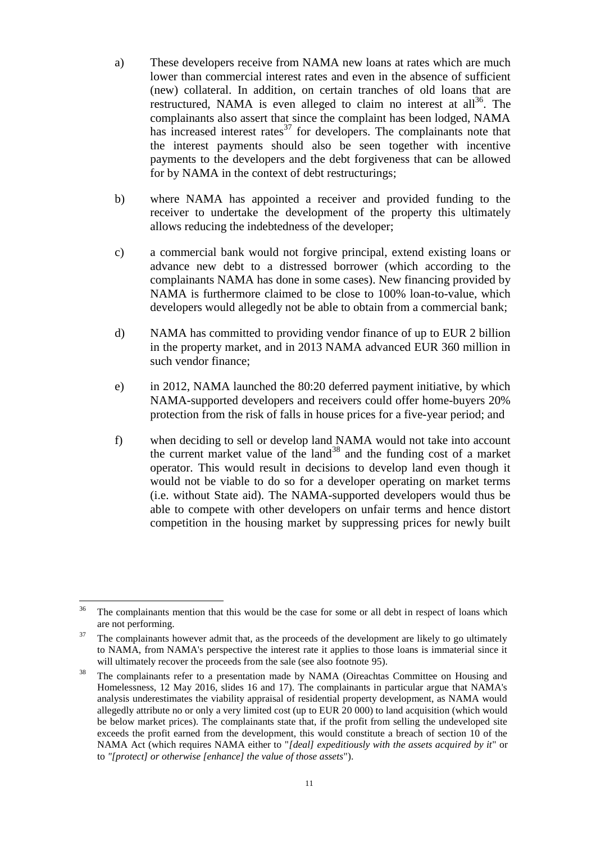- <span id="page-10-0"></span>a) These developers receive from NAMA new loans at rates which are much lower than commercial interest rates and even in the absence of sufficient (new) collateral. In addition, on certain tranches of old loans that are restructured, NAMA is even alleged to claim no interest at all<sup>36</sup>. The complainants also assert that since the complaint has been lodged, NAMA has increased interest rates $^{37}$  for developers. The complainants note that the interest payments should also be seen together with incentive payments to the developers and the debt forgiveness that can be allowed for by NAMA in the context of debt restructurings;
- b) where NAMA has appointed a receiver and provided funding to the receiver to undertake the development of the property this ultimately allows reducing the indebtedness of the developer;
- <span id="page-10-1"></span>c) a commercial bank would not forgive principal, extend existing loans or advance new debt to a distressed borrower (which according to the complainants NAMA has done in some cases). New financing provided by NAMA is furthermore claimed to be close to 100% loan-to-value, which developers would allegedly not be able to obtain from a commercial bank;
- <span id="page-10-4"></span>d) NAMA has committed to providing vendor finance of up to EUR 2 billion in the property market, and in 2013 NAMA advanced EUR 360 million in such vendor finance;
- <span id="page-10-3"></span>e) in 2012, NAMA launched the 80:20 deferred payment initiative, by which NAMA-supported developers and receivers could offer home-buyers 20% protection from the risk of falls in house prices for a five-year period; and
- <span id="page-10-2"></span>f) when deciding to sell or develop land NAMA would not take into account the current market value of the land<sup>38</sup> and the funding cost of a market operator. This would result in decisions to develop land even though it would not be viable to do so for a developer operating on market terms (i.e. without State aid). The NAMA-supported developers would thus be able to compete with other developers on unfair terms and hence distort competition in the housing market by suppressing prices for newly built

<sup>36</sup> The complainants mention that this would be the case for some or all debt in respect of loans which are not performing.

 $37$  The complainants however admit that, as the proceeds of the development are likely to go ultimately to NAMA, from NAMA's perspective the interest rate it applies to those loans is immaterial since it will ultimately recover the proceeds from the sale (see also footnote [95\)](#page-27-0).

<sup>&</sup>lt;sup>38</sup> The complainants refer to a presentation made by NAMA (Oireachtas Committee on Housing and Homelessness, 12 May 2016, slides 16 and 17). The complainants in particular argue that NAMA's analysis underestimates the viability appraisal of residential property development, as NAMA would allegedly attribute no or only a very limited cost (up to EUR 20 000) to land acquisition (which would be below market prices). The complainants state that, if the profit from selling the undeveloped site exceeds the profit earned from the development, this would constitute a breach of section 10 of the NAMA Act (which requires NAMA either to "*[deal] expeditiously with the assets acquired by it*" or to *"[protect] or otherwise [enhance] the value of those assets*").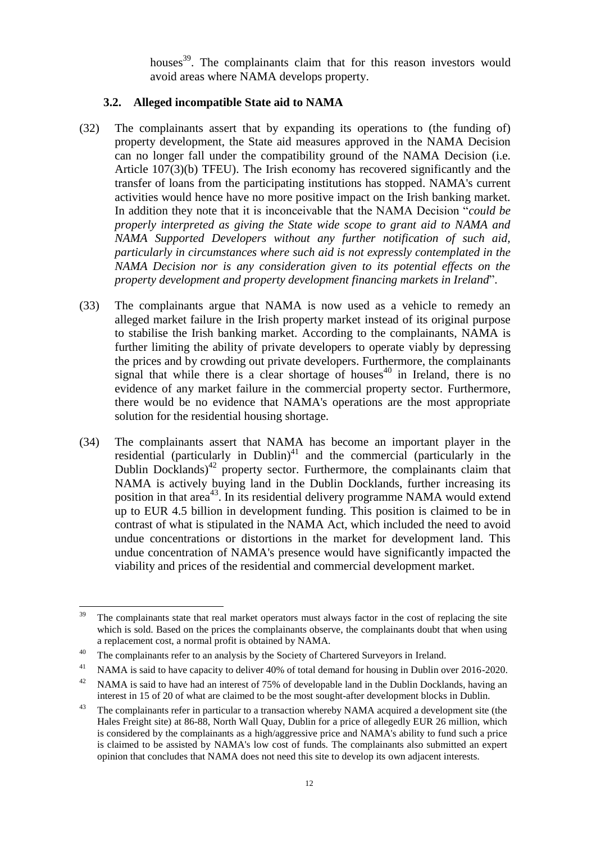houses<sup>39</sup>. The complainants claim that for this reason investors would avoid areas where NAMA develops property.

# **3.2. Alleged incompatible State aid to NAMA**

- <span id="page-11-0"></span>(32) The complainants assert that by expanding its operations to (the funding of) property development, the State aid measures approved in the NAMA Decision can no longer fall under the compatibility ground of the NAMA Decision (i.e. Article 107(3)(b) TFEU). The Irish economy has recovered significantly and the transfer of loans from the participating institutions has stopped. NAMA's current activities would hence have no more positive impact on the Irish banking market. In addition they note that it is inconceivable that the NAMA Decision "*could be properly interpreted as giving the State wide scope to grant aid to NAMA and NAMA Supported Developers without any further notification of such aid, particularly in circumstances where such aid is not expressly contemplated in the NAMA Decision nor is any consideration given to its potential effects on the property development and property development financing markets in Ireland*".
- (33) The complainants argue that NAMA is now used as a vehicle to remedy an alleged market failure in the Irish property market instead of its original purpose to stabilise the Irish banking market. According to the complainants, NAMA is further limiting the ability of private developers to operate viably by depressing the prices and by crowding out private developers. Furthermore, the complainants signal that while there is a clear shortage of houses<sup>40</sup> in Ireland, there is no evidence of any market failure in the commercial property sector. Furthermore, there would be no evidence that NAMA's operations are the most appropriate solution for the residential housing shortage.
- <span id="page-11-1"></span>(34) The complainants assert that NAMA has become an important player in the residential (particularly in Dublin)<sup>41</sup> and the commercial (particularly in the Dublin Docklands)<sup>42</sup> property sector. Furthermore, the complainants claim that NAMA is actively buying land in the Dublin Docklands, further increasing its position in that area<sup>43</sup>. In its residential delivery programme NAMA would extend up to EUR 4.5 billion in development funding. This position is claimed to be in contrast of what is stipulated in the NAMA Act, which included the need to avoid undue concentrations or distortions in the market for development land. This undue concentration of NAMA's presence would have significantly impacted the viability and prices of the residential and commercial development market.

<sup>39</sup> The complainants state that real market operators must always factor in the cost of replacing the site which is sold. Based on the prices the complainants observe, the complainants doubt that when using a replacement cost, a normal profit is obtained by NAMA.

<sup>&</sup>lt;sup>40</sup> The complainants refer to an analysis by the Society of Chartered Surveyors in Ireland.

<sup>&</sup>lt;sup>41</sup> NAMA is said to have capacity to deliver 40% of total demand for housing in Dublin over 2016-2020.

<sup>&</sup>lt;sup>42</sup> NAMA is said to have had an interest of 75% of developable land in the Dublin Docklands, having an interest in 15 of 20 of what are claimed to be the most sought-after development blocks in Dublin.

<sup>&</sup>lt;sup>43</sup> The complainants refer in particular to a transaction whereby NAMA acquired a development site (the Hales Freight site) at 86-88, North Wall Quay, Dublin for a price of allegedly EUR 26 million, which is considered by the complainants as a high/aggressive price and NAMA's ability to fund such a price is claimed to be assisted by NAMA's low cost of funds. The complainants also submitted an expert opinion that concludes that NAMA does not need this site to develop its own adjacent interests.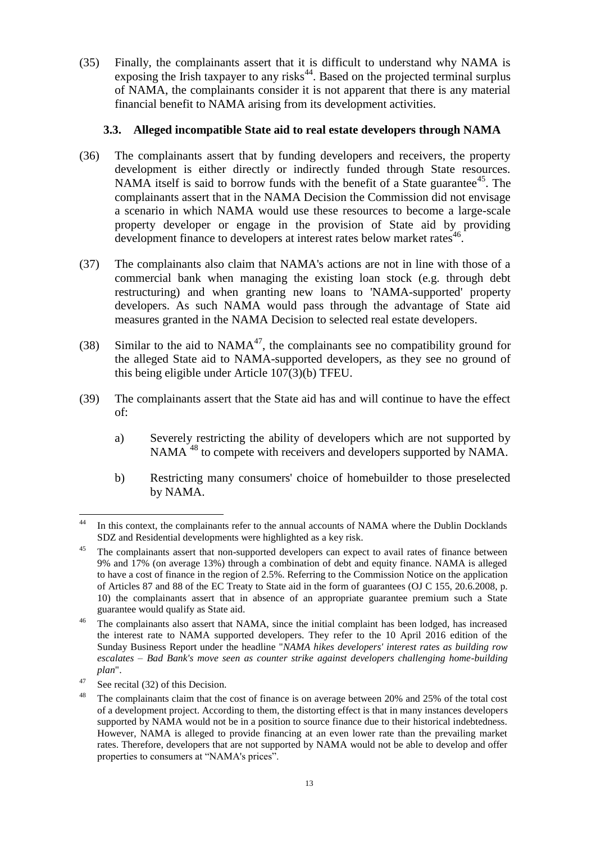(35) Finally, the complainants assert that it is difficult to understand why NAMA is exposing the Irish taxpayer to any risks $44$ . Based on the projected terminal surplus of NAMA, the complainants consider it is not apparent that there is any material financial benefit to NAMA arising from its development activities.

### **3.3. Alleged incompatible State aid to real estate developers through NAMA**

- (36) The complainants assert that by funding developers and receivers, the property development is either directly or indirectly funded through State resources. NAMA itself is said to borrow funds with the benefit of a State guarantee<sup>45</sup>. The complainants assert that in the NAMA Decision the Commission did not envisage a scenario in which NAMA would use these resources to become a large-scale property developer or engage in the provision of State aid by providing development finance to developers at interest rates below market rates<sup>46</sup> .
- (37) The complainants also claim that NAMA's actions are not in line with those of a commercial bank when managing the existing loan stock (e.g. through debt restructuring) and when granting new loans to 'NAMA-supported' property developers. As such NAMA would pass through the advantage of State aid measures granted in the NAMA Decision to selected real estate developers.
- (38) Similar to the aid to  $NAMA^{47}$ , the complainants see no compatibility ground for the alleged State aid to NAMA-supported developers, as they see no ground of this being eligible under Article 107(3)(b) TFEU.
- (39) The complainants assert that the State aid has and will continue to have the effect of:
	- a) Severely restricting the ability of developers which are not supported by NAMA<sup>48</sup> to compete with receivers and developers supported by NAMA.
	- b) Restricting many consumers' choice of homebuilder to those preselected by NAMA.

<sup>44</sup> In this context, the complainants refer to the annual accounts of NAMA where the Dublin Docklands SDZ and Residential developments were highlighted as a key risk.

<sup>&</sup>lt;sup>45</sup> The complainants assert that non-supported developers can expect to avail rates of finance between 9% and 17% (on average 13%) through a combination of debt and equity finance. NAMA is alleged to have a cost of finance in the region of 2.5%. Referring to the Commission Notice on the application of Articles 87 and 88 of the EC Treaty to State aid in the form of guarantees (OJ C 155, 20.6.2008, p. 10) the complainants assert that in absence of an appropriate guarantee premium such a State guarantee would qualify as State aid.

<sup>&</sup>lt;sup>46</sup> The complainants also assert that NAMA, since the initial complaint has been lodged, has increased the interest rate to NAMA supported developers. They refer to the 10 April 2016 edition of the Sunday Business Report under the headline "*NAMA hikes developers' interest rates as building row escalates – Bad Bank's move seen as counter strike against developers challenging home-building plan*".

 $47$  See recita[l \(32\)](#page-11-0) of this Decision.

<sup>&</sup>lt;sup>48</sup> The complainants claim that the cost of finance is on average between 20% and 25% of the total cost of a development project. According to them, the distorting effect is that in many instances developers supported by NAMA would not be in a position to source finance due to their historical indebtedness. However, NAMA is alleged to provide financing at an even lower rate than the prevailing market rates. Therefore, developers that are not supported by NAMA would not be able to develop and offer properties to consumers at "NAMA's prices".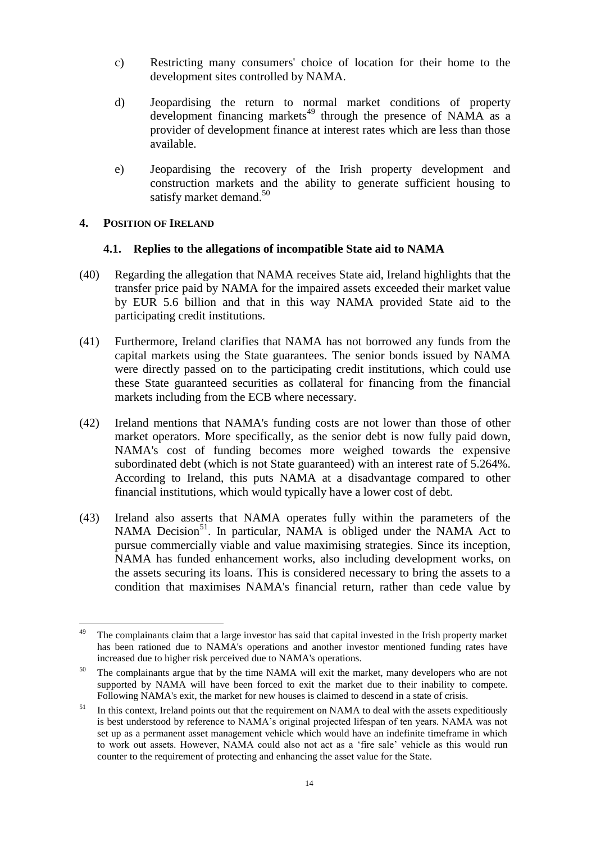- c) Restricting many consumers' choice of location for their home to the development sites controlled by NAMA.
- d) Jeopardising the return to normal market conditions of property development financing markets<sup>49</sup> through the presence of NAMA as a provider of development finance at interest rates which are less than those available.
- e) Jeopardising the recovery of the Irish property development and construction markets and the ability to generate sufficient housing to satisfy market demand.<sup>50</sup>

# **4. POSITION OF IRELAND**

### **4.1. Replies to the allegations of incompatible State aid to NAMA**

- (40) Regarding the allegation that NAMA receives State aid, Ireland highlights that the transfer price paid by NAMA for the impaired assets exceeded their market value by EUR 5.6 billion and that in this way NAMA provided State aid to the participating credit institutions.
- (41) Furthermore, Ireland clarifies that NAMA has not borrowed any funds from the capital markets using the State guarantees. The senior bonds issued by NAMA were directly passed on to the participating credit institutions, which could use these State guaranteed securities as collateral for financing from the financial markets including from the ECB where necessary.
- (42) Ireland mentions that NAMA's funding costs are not lower than those of other market operators. More specifically, as the senior debt is now fully paid down, NAMA's cost of funding becomes more weighed towards the expensive subordinated debt (which is not State guaranteed) with an interest rate of 5.264%. According to Ireland, this puts NAMA at a disadvantage compared to other financial institutions, which would typically have a lower cost of debt.
- (43) Ireland also asserts that NAMA operates fully within the parameters of the NAMA Decision<sup>51</sup>. In particular, NAMA is obliged under the NAMA Act to pursue commercially viable and value maximising strategies. Since its inception, NAMA has funded enhancement works, also including development works, on the assets securing its loans. This is considered necessary to bring the assets to a condition that maximises NAMA's financial return, rather than cede value by

<sup>49</sup> The complainants claim that a large investor has said that capital invested in the Irish property market has been rationed due to NAMA's operations and another investor mentioned funding rates have increased due to higher risk perceived due to NAMA's operations.

<sup>&</sup>lt;sup>50</sup> The complainants argue that by the time NAMA will exit the market, many developers who are not supported by NAMA will have been forced to exit the market due to their inability to compete. Following NAMA's exit, the market for new houses is claimed to descend in a state of crisis.

 $51$  In this context, Ireland points out that the requirement on NAMA to deal with the assets expeditiously is best understood by reference to NAMA's original projected lifespan of ten years. NAMA was not set up as a permanent asset management vehicle which would have an indefinite timeframe in which to work out assets. However, NAMA could also not act as a 'fire sale' vehicle as this would run counter to the requirement of protecting and enhancing the asset value for the State.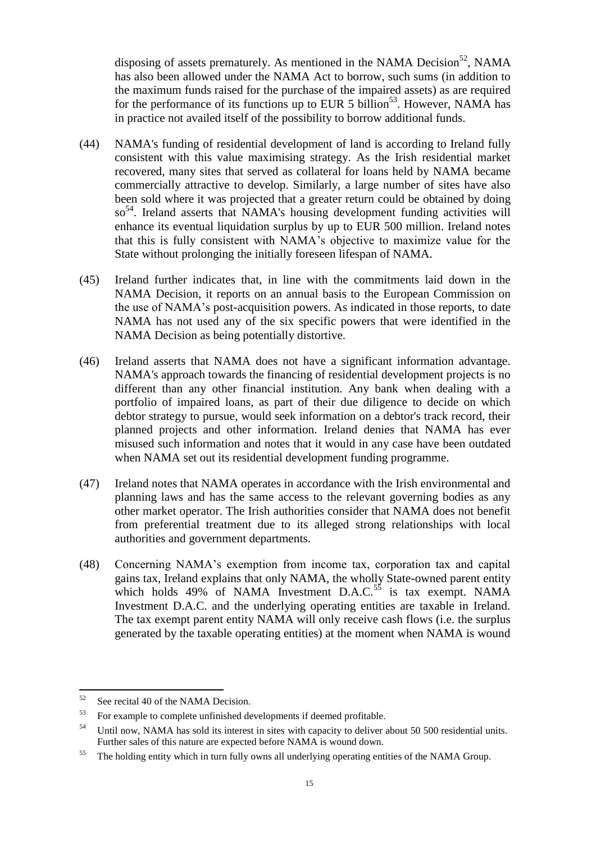disposing of assets prematurely. As mentioned in the NAMA Decision<sup>52</sup>, NAMA has also been allowed under the NAMA Act to borrow, such sums (in addition to the maximum funds raised for the purchase of the impaired assets) as are required for the performance of its functions up to EUR 5 billion<sup>53</sup>. However, NAMA has in practice not availed itself of the possibility to borrow additional funds.

- (44) NAMA's funding of residential development of land is according to Ireland fully consistent with this value maximising strategy. As the Irish residential market recovered, many sites that served as collateral for loans held by NAMA became commercially attractive to develop. Similarly, a large number of sites have also been sold where it was projected that a greater return could be obtained by doing so<sup>54</sup>. Ireland asserts that NAMA's housing development funding activities will enhance its eventual liquidation surplus by up to EUR 500 million. Ireland notes that this is fully consistent with NAMA's objective to maximize value for the State without prolonging the initially foreseen lifespan of NAMA.
- (45) Ireland further indicates that, in line with the commitments laid down in the NAMA Decision, it reports on an annual basis to the European Commission on the use of NAMA's post-acquisition powers. As indicated in those reports, to date NAMA has not used any of the six specific powers that were identified in the NAMA Decision as being potentially distortive.
- (46) Ireland asserts that NAMA does not have a significant information advantage. NAMA's approach towards the financing of residential development projects is no different than any other financial institution. Any bank when dealing with a portfolio of impaired loans, as part of their due diligence to decide on which debtor strategy to pursue, would seek information on a debtor's track record, their planned projects and other information. Ireland denies that NAMA has ever misused such information and notes that it would in any case have been outdated when NAMA set out its residential development funding programme.
- (47) Ireland notes that NAMA operates in accordance with the Irish environmental and planning laws and has the same access to the relevant governing bodies as any other market operator. The Irish authorities consider that NAMA does not benefit from preferential treatment due to its alleged strong relationships with local authorities and government departments.
- (48) Concerning NAMA's exemption from income tax, corporation tax and capital gains tax, Ireland explains that only NAMA, the wholly State-owned parent entity which holds 49% of NAMA Investment D.A.C.<sup>55</sup> is tax exempt. NAMA Investment D.A.C. and the underlying operating entities are taxable in Ireland. The tax exempt parent entity NAMA will only receive cash flows (i.e. the surplus generated by the taxable operating entities) at the moment when NAMA is wound

<sup>52</sup> See recital 40 of the NAMA Decision.

<sup>&</sup>lt;sup>53</sup> For example to complete unfinished developments if deemed profitable.

<sup>&</sup>lt;sup>54</sup> Until now, NAMA has sold its interest in sites with capacity to deliver about 50 500 residential units. Further sales of this nature are expected before NAMA is wound down.

<sup>&</sup>lt;sup>55</sup> The holding entity which in turn fully owns all underlying operating entities of the NAMA Group.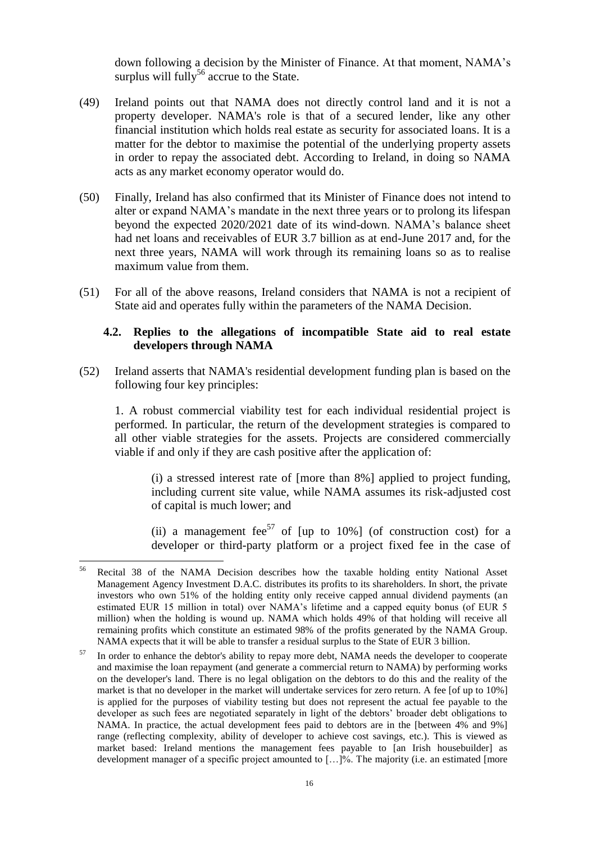down following a decision by the Minister of Finance. At that moment, NAMA's surplus will fully<sup>56</sup> accrue to the State.

- (49) Ireland points out that NAMA does not directly control land and it is not a property developer. NAMA's role is that of a secured lender, like any other financial institution which holds real estate as security for associated loans. It is a matter for the debtor to maximise the potential of the underlying property assets in order to repay the associated debt. According to Ireland, in doing so NAMA acts as any market economy operator would do.
- (50) Finally, Ireland has also confirmed that its Minister of Finance does not intend to alter or expand NAMA's mandate in the next three years or to prolong its lifespan beyond the expected 2020/2021 date of its wind-down. NAMA's balance sheet had net loans and receivables of EUR 3.7 billion as at end-June 2017 and, for the next three years, NAMA will work through its remaining loans so as to realise maximum value from them.
- (51) For all of the above reasons, Ireland considers that NAMA is not a recipient of State aid and operates fully within the parameters of the NAMA Decision.

#### **4.2. Replies to the allegations of incompatible State aid to real estate developers through NAMA**

<span id="page-15-0"></span>(52) Ireland asserts that NAMA's residential development funding plan is based on the following four key principles:

1. A robust commercial viability test for each individual residential project is performed. In particular, the return of the development strategies is compared to all other viable strategies for the assets. Projects are considered commercially viable if and only if they are cash positive after the application of:

(i) a stressed interest rate of [more than 8%] applied to project funding, including current site value, while NAMA assumes its risk-adjusted cost of capital is much lower; and

(ii) a management fee<sup>57</sup> of [up to 10%] (of construction cost) for a developer or third-party platform or a project fixed fee in the case of

<sup>56</sup> <sup>56</sup> Recital 38 of the NAMA Decision describes how the taxable holding entity National Asset Management Agency Investment D.A.C. distributes its profits to its shareholders. In short, the private investors who own 51% of the holding entity only receive capped annual dividend payments (an estimated EUR 15 million in total) over NAMA's lifetime and a capped equity bonus (of EUR 5 million) when the holding is wound up. NAMA which holds 49% of that holding will receive all remaining profits which constitute an estimated 98% of the profits generated by the NAMA Group. NAMA expects that it will be able to transfer a residual surplus to the State of EUR 3 billion.

<sup>&</sup>lt;sup>57</sup> In order to enhance the debtor's ability to repay more debt, NAMA needs the developer to cooperate and maximise the loan repayment (and generate a commercial return to NAMA) by performing works on the developer's land. There is no legal obligation on the debtors to do this and the reality of the market is that no developer in the market will undertake services for zero return. A fee [of up to 10%] is applied for the purposes of viability testing but does not represent the actual fee payable to the developer as such fees are negotiated separately in light of the debtors' broader debt obligations to NAMA. In practice, the actual development fees paid to debtors are in the [between 4% and 9%] range (reflecting complexity, ability of developer to achieve cost savings, etc.). This is viewed as market based: Ireland mentions the management fees payable to [an Irish housebuilder] as development manager of a specific project amounted to  $[\dots]$ %. The majority (i.e. an estimated [more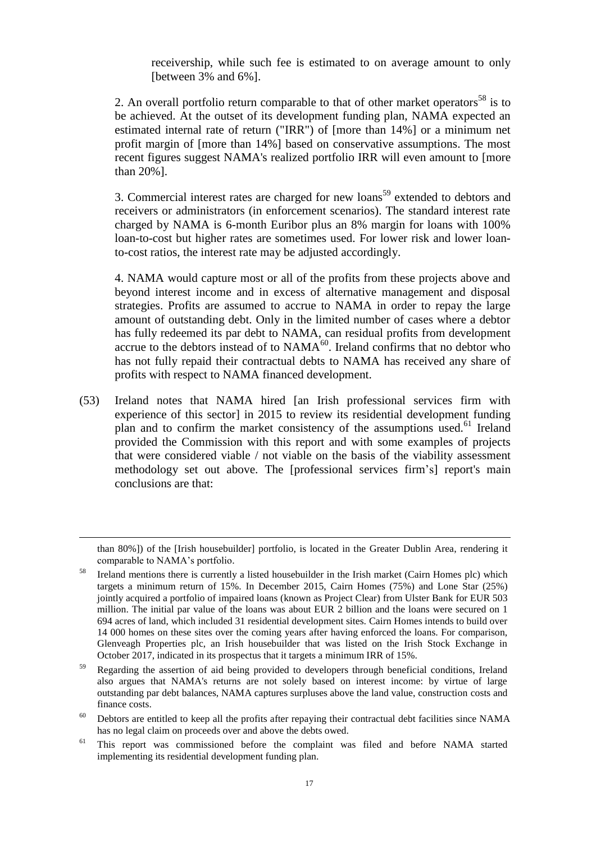receivership, while such fee is estimated to on average amount to only [between 3% and 6%].

2. An overall portfolio return comparable to that of other market operators<sup>58</sup> is to be achieved. At the outset of its development funding plan, NAMA expected an estimated internal rate of return ("IRR") of [more than 14%] or a minimum net profit margin of [more than 14%] based on conservative assumptions. The most recent figures suggest NAMA's realized portfolio IRR will even amount to [more than 20%].

3. Commercial interest rates are charged for new  $\lambda$  loans<sup>59</sup> extended to debtors and receivers or administrators (in enforcement scenarios). The standard interest rate charged by NAMA is 6-month Euribor plus an 8% margin for loans with 100% loan-to-cost but higher rates are sometimes used. For lower risk and lower loanto-cost ratios, the interest rate may be adjusted accordingly.

4. NAMA would capture most or all of the profits from these projects above and beyond interest income and in excess of alternative management and disposal strategies. Profits are assumed to accrue to NAMA in order to repay the large amount of outstanding debt. Only in the limited number of cases where a debtor has fully redeemed its par debt to NAMA, can residual profits from development accrue to the debtors instead of to  $NAMA^{60}$ . Ireland confirms that no debtor who has not fully repaid their contractual debts to NAMA has received any share of profits with respect to NAMA financed development.

(53) Ireland notes that NAMA hired [an Irish professional services firm with experience of this sector] in 2015 to review its residential development funding plan and to confirm the market consistency of the assumptions used.<sup>61</sup> Ireland provided the Commission with this report and with some examples of projects that were considered viable / not viable on the basis of the viability assessment methodology set out above. The [professional services firm's] report's main conclusions are that:

than 80%]) of the [Irish housebuilder] portfolio, is located in the Greater Dublin Area, rendering it comparable to NAMA's portfolio.

<sup>58</sup> Ireland mentions there is currently a listed housebuilder in the Irish market (Cairn Homes plc) which targets a minimum return of 15%. In December 2015, Cairn Homes (75%) and Lone Star (25%) jointly acquired a portfolio of impaired loans (known as Project Clear) from Ulster Bank for EUR 503 million. The initial par value of the loans was about EUR 2 billion and the loans were secured on 1 694 acres of land, which included 31 residential development sites. Cairn Homes intends to build over 14 000 homes on these sites over the coming years after having enforced the loans. For comparison, Glenveagh Properties plc, an Irish housebuilder that was listed on the Irish Stock Exchange in October 2017, indicated in its prospectus that it targets a minimum IRR of 15%.

<sup>&</sup>lt;sup>59</sup> Regarding the assertion of aid being provided to developers through beneficial conditions, Ireland also argues that NAMA's returns are not solely based on interest income: by virtue of large outstanding par debt balances, NAMA captures surpluses above the land value, construction costs and finance costs.

<sup>60</sup> Debtors are entitled to keep all the profits after repaying their contractual debt facilities since NAMA has no legal claim on proceeds over and above the debts owed.

<sup>&</sup>lt;sup>61</sup> This report was commissioned before the complaint was filed and before NAMA started implementing its residential development funding plan.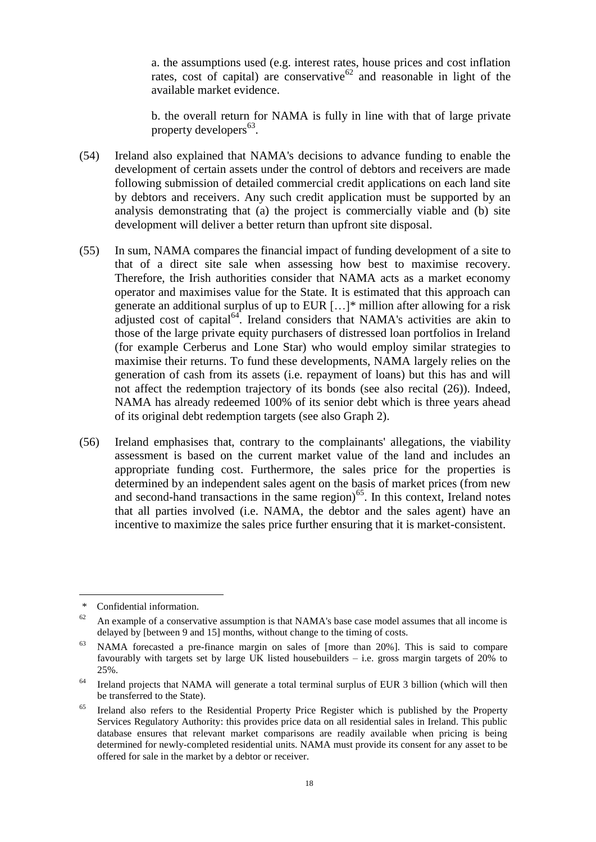a. the assumptions used (e.g. interest rates, house prices and cost inflation rates, cost of capital) are conservative $62$  and reasonable in light of the available market evidence.

b. the overall return for NAMA is fully in line with that of large private property developers<sup>63</sup>.

- (54) Ireland also explained that NAMA's decisions to advance funding to enable the development of certain assets under the control of debtors and receivers are made following submission of detailed commercial credit applications on each land site by debtors and receivers. Any such credit application must be supported by an analysis demonstrating that (a) the project is commercially viable and (b) site development will deliver a better return than upfront site disposal.
- <span id="page-17-0"></span>(55) In sum, NAMA compares the financial impact of funding development of a site to that of a direct site sale when assessing how best to maximise recovery. Therefore, the Irish authorities consider that NAMA acts as a market economy operator and maximises value for the State. It is estimated that this approach can generate an additional surplus of up to EUR […]\* million after allowing for a risk adjusted cost of capital<sup>64</sup>. Ireland considers that NAMA's activities are akin to those of the large private equity purchasers of distressed loan portfolios in Ireland (for example Cerberus and Lone Star) who would employ similar strategies to maximise their returns. To fund these developments, NAMA largely relies on the generation of cash from its assets (i.e. repayment of loans) but this has and will not affect the redemption trajectory of its bonds (see also recital [\(26\)\)](#page-7-0). Indeed, NAMA has already redeemed 100% of its senior debt which is three years ahead of its original debt redemption targets (see also Graph 2).
- (56) Ireland emphasises that, contrary to the complainants' allegations, the viability assessment is based on the current market value of the land and includes an appropriate funding cost. Furthermore, the sales price for the properties is determined by an independent sales agent on the basis of market prices (from new and second-hand transactions in the same region) $^{65}$ . In this context, Ireland notes that all parties involved (i.e. NAMA, the debtor and the sales agent) have an incentive to maximize the sales price further ensuring that it is market-consistent.

Confidential information.

 $62$  An example of a conservative assumption is that NAMA's base case model assumes that all income is delayed by [between 9 and 15] months, without change to the timing of costs.

<sup>63</sup> NAMA forecasted a pre-finance margin on sales of [more than 20%]. This is said to compare favourably with targets set by large UK listed housebuilders – i.e. gross margin targets of 20% to 25%.

 $64$  Ireland projects that NAMA will generate a total terminal surplus of EUR 3 billion (which will then be transferred to the State).

Ireland also refers to the Residential Property Price Register which is published by the Property Services Regulatory Authority: this provides price data on all residential sales in Ireland. This public database ensures that relevant market comparisons are readily available when pricing is being determined for newly-completed residential units. NAMA must provide its consent for any asset to be offered for sale in the market by a debtor or receiver.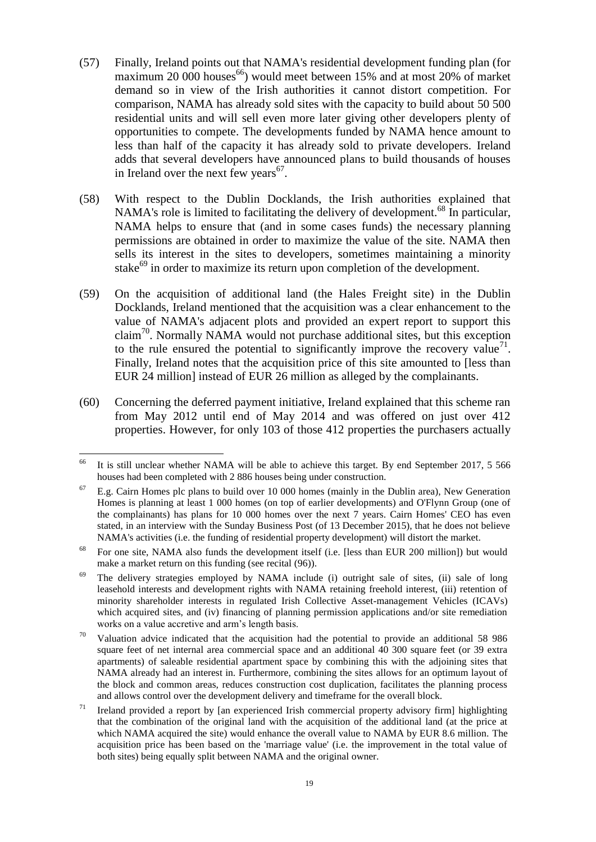- (57) Finally, Ireland points out that NAMA's residential development funding plan (for maximum 20 000 houses<sup>66</sup>) would meet between 15% and at most 20% of market demand so in view of the Irish authorities it cannot distort competition. For comparison, NAMA has already sold sites with the capacity to build about 50 500 residential units and will sell even more later giving other developers plenty of opportunities to compete. The developments funded by NAMA hence amount to less than half of the capacity it has already sold to private developers. Ireland adds that several developers have announced plans to build thousands of houses in Ireland over the next few years $67$ .
- (58) With respect to the Dublin Docklands, the Irish authorities explained that NAMA's role is limited to facilitating the delivery of development.<sup>68</sup> In particular, NAMA helps to ensure that (and in some cases funds) the necessary planning permissions are obtained in order to maximize the value of the site. NAMA then sells its interest in the sites to developers, sometimes maintaining a minority stake $^{69}$  in order to maximize its return upon completion of the development.
- <span id="page-18-1"></span>(59) On the acquisition of additional land (the Hales Freight site) in the Dublin Docklands, Ireland mentioned that the acquisition was a clear enhancement to the value of NAMA's adjacent plots and provided an expert report to support this claim<sup>70</sup>. Normally NAMA would not purchase additional sites, but this exception to the rule ensured the potential to significantly improve the recovery value<sup>71</sup>. Finally, Ireland notes that the acquisition price of this site amounted to [less than EUR 24 million] instead of EUR 26 million as alleged by the complainants.
- <span id="page-18-0"></span>(60) Concerning the deferred payment initiative, Ireland explained that this scheme ran from May 2012 until end of May 2014 and was offered on just over 412 properties. However, for only 103 of those 412 properties the purchasers actually

<sup>&</sup>lt;sup>66</sup> It is still unclear whether NAMA will be able to achieve this target. By end September 2017, 5 566 houses had been completed with 2 886 houses being under construction.

<sup>67</sup> E.g. Cairn Homes plc plans to build over 10 000 homes (mainly in the Dublin area), New Generation Homes is planning at least 1 000 homes (on top of earlier developments) and O'Flynn Group (one of the complainants) has plans for 10 000 homes over the next 7 years. Cairn Homes' CEO has even stated, in an interview with the Sunday Business Post (of 13 December 2015), that he does not believe NAMA's activities (i.e. the funding of residential property development) will distort the market.

<sup>&</sup>lt;sup>68</sup> For one site, NAMA also funds the development itself (i.e. [less than EUR 200 million]) but would make a market return on this funding (see recital [\(96\)\)](#page-30-0).

 $69$  The delivery strategies employed by NAMA include (i) outright sale of sites, (ii) sale of long leasehold interests and development rights with NAMA retaining freehold interest, (iii) retention of minority shareholder interests in regulated Irish Collective Asset-management Vehicles (ICAVs) which acquired sites, and (iv) financing of planning permission applications and/or site remediation works on a value accretive and arm's length basis.

 $70$  Valuation advice indicated that the acquisition had the potential to provide an additional 58 986 square feet of net internal area commercial space and an additional 40 300 square feet (or 39 extra apartments) of saleable residential apartment space by combining this with the adjoining sites that NAMA already had an interest in. Furthermore, combining the sites allows for an optimum layout of the block and common areas, reduces construction cost duplication, facilitates the planning process and allows control over the development delivery and timeframe for the overall block.

 $71$  Ireland provided a report by [an experienced Irish commercial property advisory firm] highlighting that the combination of the original land with the acquisition of the additional land (at the price at which NAMA acquired the site) would enhance the overall value to NAMA by EUR 8.6 million. The acquisition price has been based on the 'marriage value' (i.e. the improvement in the total value of both sites) being equally split between NAMA and the original owner.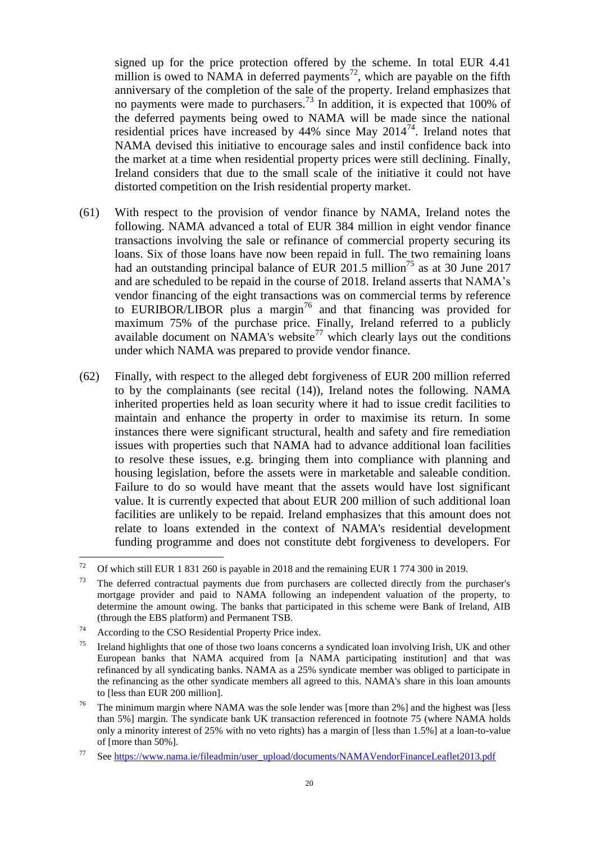signed up for the price protection offered by the scheme. In total EUR 4.41 million is owed to NAMA in deferred payments<sup>72</sup>, which are payable on the fifth anniversary of the completion of the sale of the property. Ireland emphasizes that no payments were made to purchasers.<sup>73</sup> In addition, it is expected that 100% of the deferred payments being owed to NAMA will be made since the national residential prices have increased by  $44\%$  since May  $2014^{74}$ . Ireland notes that NAMA devised this initiative to encourage sales and instil confidence back into the market at a time when residential property prices were still declining. Finally, Ireland considers that due to the small scale of the initiative it could not have distorted competition on the Irish residential property market.

- <span id="page-19-0"></span>(61) With respect to the provision of vendor finance by NAMA, Ireland notes the following. NAMA advanced a total of EUR 384 million in eight vendor finance transactions involving the sale or refinance of commercial property securing its loans. Six of those loans have now been repaid in full. The two remaining loans had an outstanding principal balance of EUR 201.5 million<sup>75</sup> as at 30 June 2017 and are scheduled to be repaid in the course of 2018. Ireland asserts that NAMA's vendor financing of the eight transactions was on commercial terms by reference to EURIBOR/LIBOR plus a margin<sup>76</sup> and that financing was provided for maximum 75% of the purchase price. Finally, Ireland referred to a publicly available document on NAMA's website<sup>77</sup> which clearly lays out the conditions under which NAMA was prepared to provide vendor finance.
- <span id="page-19-1"></span>(62) Finally, with respect to the alleged debt forgiveness of EUR 200 million referred to by the complainants (see recital [\(14\)\)](#page-2-0), Ireland notes the following. NAMA inherited properties held as loan security where it had to issue credit facilities to maintain and enhance the property in order to maximise its return. In some instances there were significant structural, health and safety and fire remediation issues with properties such that NAMA had to advance additional loan facilities to resolve these issues, e.g. bringing them into compliance with planning and housing legislation, before the assets were in marketable and saleable condition. Failure to do so would have meant that the assets would have lost significant value. It is currently expected that about EUR 200 million of such additional loan facilities are unlikely to be repaid. Ireland emphasizes that this amount does not relate to loans extended in the context of NAMA's residential development funding programme and does not constitute debt forgiveness to developers. For

<sup>72</sup> <sup>72</sup> Of which still EUR 1 831 260 is payable in 2018 and the remaining EUR 1 774 300 in 2019.

 $73$  The deferred contractual payments due from purchasers are collected directly from the purchaser's mortgage provider and paid to NAMA following an independent valuation of the property, to determine the amount owing. The banks that participated in this scheme were Bank of Ireland, AIB (through the EBS platform) and Permanent TSB.

<sup>74</sup> According to the CSO Residential Property Price index.

 $75$  Ireland highlights that one of those two loans concerns a syndicated loan involving Irish, UK and other European banks that NAMA acquired from [a NAMA participating institution] and that was refinanced by all syndicating banks. NAMA as a 25% syndicate member was obliged to participate in the refinancing as the other syndicate members all agreed to this. NAMA's share in this loan amounts to [less than EUR 200 million].

The minimum margin where NAMA was the sole lender was [more than 2%] and the highest was [less] than 5%] margin. The syndicate bank UK transaction referenced in footnote [75](#page-19-0) (where NAMA holds only a minority interest of 25% with no veto rights) has a margin of [less than 1.5%] at a loan-to-value of [more than 50%].

<sup>77</sup> See [https://www.nama.ie/fileadmin/user\\_upload/documents/NAMAVendorFinanceLeaflet2013.pdf](https://www.nama.ie/fileadmin/user_upload/documents/NAMAVendorFinanceLeaflet2013.pdf)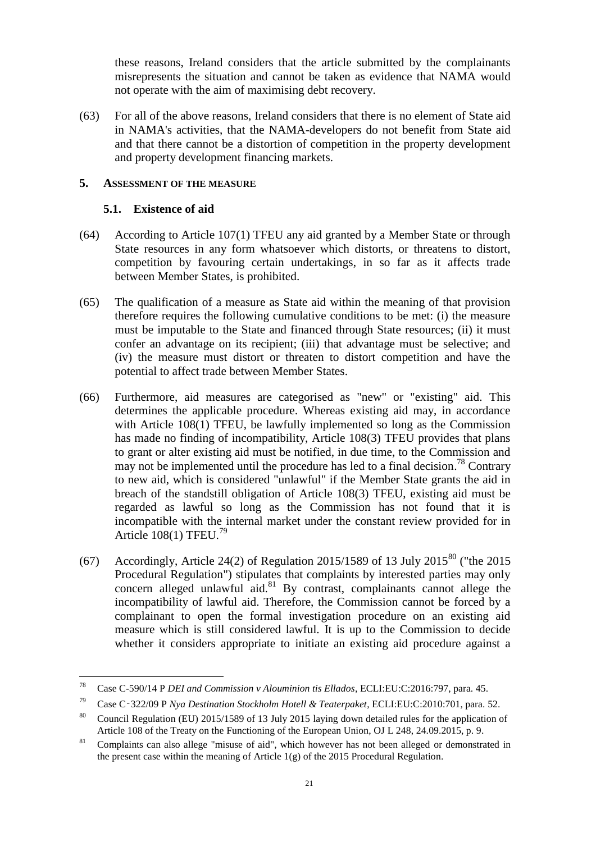these reasons, Ireland considers that the article submitted by the complainants misrepresents the situation and cannot be taken as evidence that NAMA would not operate with the aim of maximising debt recovery.

(63) For all of the above reasons, Ireland considers that there is no element of State aid in NAMA's activities, that the NAMA-developers do not benefit from State aid and that there cannot be a distortion of competition in the property development and property development financing markets.

### **5. ASSESSMENT OF THE MEASURE**

# **5.1. Existence of aid**

- (64) According to Article 107(1) TFEU any aid granted by a Member State or through State resources in any form whatsoever which distorts, or threatens to distort, competition by favouring certain undertakings, in so far as it affects trade between Member States, is prohibited.
- (65) The qualification of a measure as State aid within the meaning of that provision therefore requires the following cumulative conditions to be met: (i) the measure must be imputable to the State and financed through State resources; (ii) it must confer an advantage on its recipient; (iii) that advantage must be selective; and (iv) the measure must distort or threaten to distort competition and have the potential to affect trade between Member States.
- (66) Furthermore, aid measures are categorised as "new" or "existing" aid. This determines the applicable procedure. Whereas existing aid may, in accordance with Article 108(1) TFEU, be lawfully implemented so long as the Commission has made no finding of incompatibility, Article 108(3) TFEU provides that plans to grant or alter existing aid must be notified, in due time, to the Commission and may not be implemented until the procedure has led to a final decision.<sup>78</sup> Contrary to new aid, which is considered "unlawful" if the Member State grants the aid in breach of the standstill obligation of Article 108(3) TFEU, existing aid must be regarded as lawful so long as the Commission has not found that it is incompatible with the internal market under the constant review provided for in Article 108(1) TFEU.<sup>79</sup>
- (67) Accordingly, Article 24(2) of Regulation 2015/1589 of 13 July 2015<sup>80</sup> ("the 2015 Procedural Regulation") stipulates that complaints by interested parties may only concern alleged unlawful aid. $81$  By contrast, complainants cannot allege the incompatibility of lawful aid. Therefore, the Commission cannot be forced by a complainant to open the formal investigation procedure on an existing aid measure which is still considered lawful. It is up to the Commission to decide whether it considers appropriate to initiate an existing aid procedure against a

<sup>78</sup> <sup>78</sup> Case C-590/14 P *DEI and Commission v Alouminion tis Ellados*, ECLI:EU:C:2016:797, para. 45.

<sup>79</sup> Case C‑322/09 P *Nya Destination Stockholm Hotell & Teaterpaket*, ECLI:EU:C:2010:701, para. 52.

<sup>&</sup>lt;sup>80</sup> Council Regulation (EU) 2015/1589 of 13 July 2015 laying down detailed rules for the application of Article 108 of the Treaty on the Functioning of the European Union, OJ L 248, 24.09.2015, p. 9.

<sup>&</sup>lt;sup>81</sup> Complaints can also allege "misuse of aid", which however has not been alleged or demonstrated in the present case within the meaning of Article  $1(g)$  of the 2015 Procedural Regulation.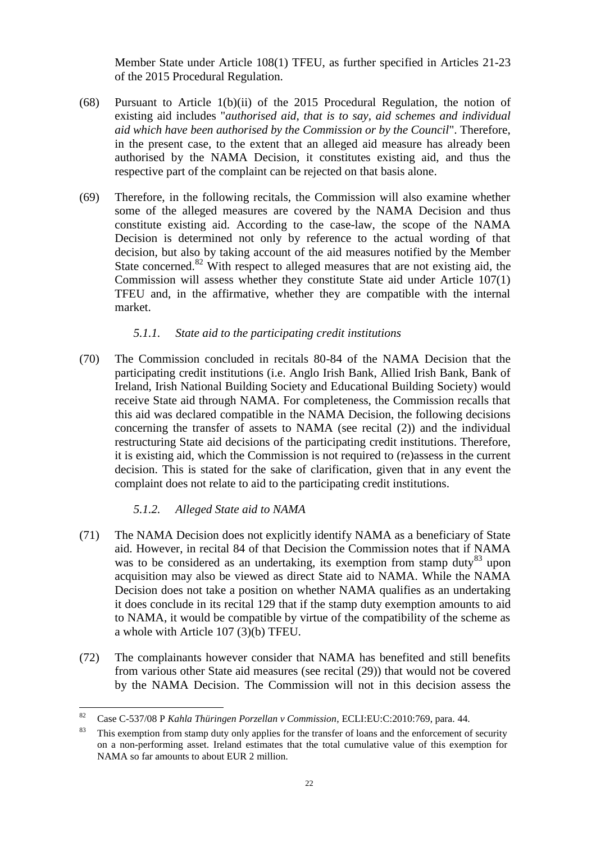Member State under Article 108(1) TFEU, as further specified in Articles 21-23 of the 2015 Procedural Regulation.

- (68) Pursuant to Article 1(b)(ii) of the 2015 Procedural Regulation, the notion of existing aid includes "*authorised aid, that is to say, aid schemes and individual aid which have been authorised by the Commission or by the Council*". Therefore, in the present case, to the extent that an alleged aid measure has already been authorised by the NAMA Decision, it constitutes existing aid, and thus the respective part of the complaint can be rejected on that basis alone.
- (69) Therefore, in the following recitals, the Commission will also examine whether some of the alleged measures are covered by the NAMA Decision and thus constitute existing aid. According to the case-law, the scope of the NAMA Decision is determined not only by reference to the actual wording of that decision, but also by taking account of the aid measures notified by the Member State concerned.<sup>82</sup> With respect to alleged measures that are not existing aid, the Commission will assess whether they constitute State aid under Article 107(1) TFEU and, in the affirmative, whether they are compatible with the internal market.

### *5.1.1. State aid to the participating credit institutions*

(70) The Commission concluded in recitals 80-84 of the NAMA Decision that the participating credit institutions (i.e. Anglo Irish Bank, Allied Irish Bank, Bank of Ireland, Irish National Building Society and Educational Building Society) would receive State aid through NAMA. For completeness, the Commission recalls that this aid was declared compatible in the NAMA Decision, the following decisions concerning the transfer of assets to NAMA (see recital [\(2\)\)](#page-0-1) and the individual restructuring State aid decisions of the participating credit institutions. Therefore, it is existing aid, which the Commission is not required to (re)assess in the current decision. This is stated for the sake of clarification, given that in any event the complaint does not relate to aid to the participating credit institutions.

# *5.1.2. Alleged State aid to NAMA*

- <span id="page-21-0"></span>(71) The NAMA Decision does not explicitly identify NAMA as a beneficiary of State aid. However, in recital 84 of that Decision the Commission notes that if NAMA was to be considered as an undertaking, its exemption from stamp duty<sup>83</sup> upon acquisition may also be viewed as direct State aid to NAMA. While the NAMA Decision does not take a position on whether NAMA qualifies as an undertaking it does conclude in its recital 129 that if the stamp duty exemption amounts to aid to NAMA, it would be compatible by virtue of the compatibility of the scheme as a whole with Article 107 (3)(b) TFEU.
- (72) The complainants however consider that NAMA has benefited and still benefits from various other State aid measures (see recital [\(29\)\)](#page-8-0) that would not be covered by the NAMA Decision. The Commission will not in this decision assess the

<sup>82</sup> <sup>82</sup> Case C-537/08 P *Kahla Thüringen Porzellan v Commission*, ECLI:EU:C:2010:769, para. 44.

<sup>&</sup>lt;sup>83</sup> This exemption from stamp duty only applies for the transfer of loans and the enforcement of security on a non-performing asset. Ireland estimates that the total cumulative value of this exemption for NAMA so far amounts to about EUR 2 million.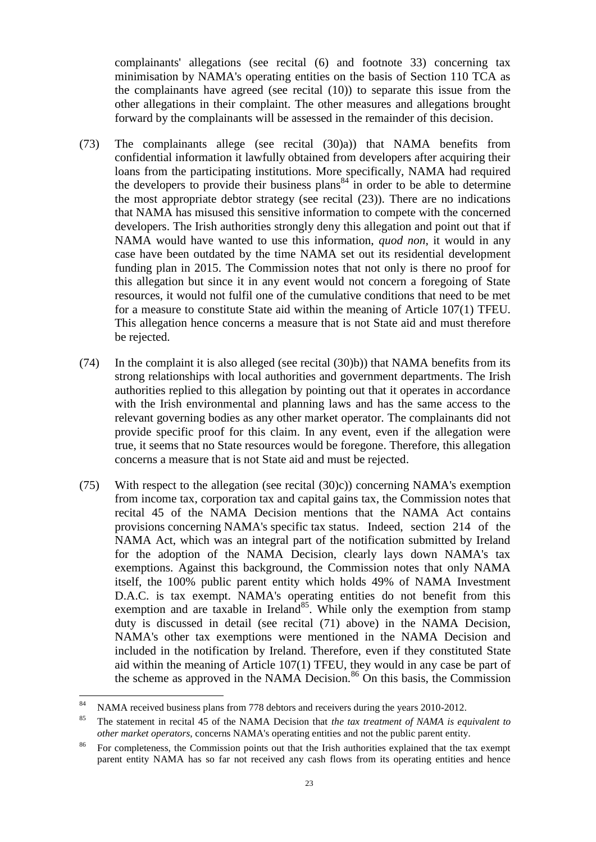complainants' allegations (see recital [\(6\)](#page-1-0) and footnote [33\)](#page-9-0) concerning tax minimisation by NAMA's operating entities on the basis of Section 110 TCA as the complainants have agreed (see recital [\(10\)\)](#page-2-1) to separate this issue from the other allegations in their complaint. The other measures and allegations brought forward by the complainants will be assessed in the remainder of this decision.

- (73) The complainants allege (see recital [\(30\)a\)\)](#page-9-1) that NAMA benefits from confidential information it lawfully obtained from developers after acquiring their loans from the participating institutions. More specifically, NAMA had required the developers to provide their business plans<sup>84</sup> in order to be able to determine the most appropriate debtor strategy (see recital [\(23\)\)](#page-5-0). There are no indications that NAMA has misused this sensitive information to compete with the concerned developers. The Irish authorities strongly deny this allegation and point out that if NAMA would have wanted to use this information, *quod non*, it would in any case have been outdated by the time NAMA set out its residential development funding plan in 2015. The Commission notes that not only is there no proof for this allegation but since it in any event would not concern a foregoing of State resources, it would not fulfil one of the cumulative conditions that need to be met for a measure to constitute State aid within the meaning of Article 107(1) TFEU. This allegation hence concerns a measure that is not State aid and must therefore be rejected.
- (74) In the complaint it is also alleged (see recital [\(30\)b\)\)](#page-9-2) that NAMA benefits from its strong relationships with local authorities and government departments. The Irish authorities replied to this allegation by pointing out that it operates in accordance with the Irish environmental and planning laws and has the same access to the relevant governing bodies as any other market operator. The complainants did not provide specific proof for this claim. In any event, even if the allegation were true, it seems that no State resources would be foregone. Therefore, this allegation concerns a measure that is not State aid and must be rejected.
- (75) With respect to the allegation (see recital [\(30\)c\)\)](#page-9-3) concerning NAMA's exemption from income tax, corporation tax and capital gains tax, the Commission notes that recital 45 of the NAMA Decision mentions that the NAMA Act contains provisions concerning NAMA's specific tax status. Indeed, section 214 of the NAMA Act, which was an integral part of the notification submitted by Ireland for the adoption of the NAMA Decision, clearly lays down NAMA's tax exemptions. Against this background, the Commission notes that only NAMA itself, the 100% public parent entity which holds 49% of NAMA Investment D.A.C. is tax exempt. NAMA's operating entities do not benefit from this exemption and are taxable in Ireland<sup>85</sup>. While only the exemption from stamp duty is discussed in detail (see recital [\(71\)](#page-21-0) above) in the NAMA Decision, NAMA's other tax exemptions were mentioned in the NAMA Decision and included in the notification by Ireland. Therefore, even if they constituted State aid within the meaning of Article 107(1) TFEU, they would in any case be part of the scheme as approved in the NAMA Decision.<sup>86</sup> On this basis, the Commission

<sup>84</sup> NAMA received business plans from 778 debtors and receivers during the years 2010-2012.

<sup>85</sup> The statement in recital 45 of the NAMA Decision that *the tax treatment of NAMA is equivalent to other market operators*, concerns NAMA's operating entities and not the public parent entity.

<sup>&</sup>lt;sup>86</sup> For completeness, the Commission points out that the Irish authorities explained that the tax exempt parent entity NAMA has so far not received any cash flows from its operating entities and hence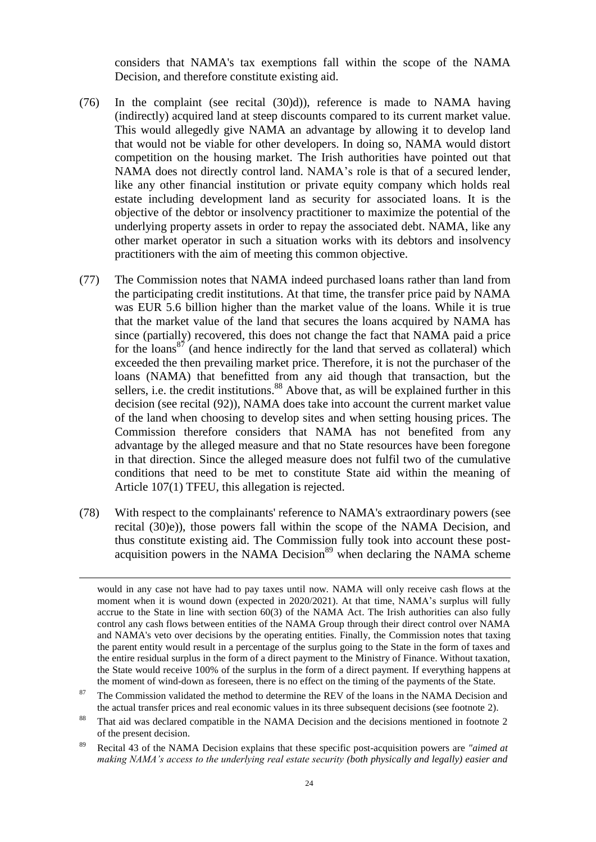considers that NAMA's tax exemptions fall within the scope of the NAMA Decision, and therefore constitute existing aid.

- (76) In the complaint (see recital [\(30\)d\)\)](#page-9-4), reference is made to NAMA having (indirectly) acquired land at steep discounts compared to its current market value. This would allegedly give NAMA an advantage by allowing it to develop land that would not be viable for other developers. In doing so, NAMA would distort competition on the housing market. The Irish authorities have pointed out that NAMA does not directly control land. NAMA's role is that of a secured lender, like any other financial institution or private equity company which holds real estate including development land as security for associated loans. It is the objective of the debtor or insolvency practitioner to maximize the potential of the underlying property assets in order to repay the associated debt. NAMA, like any other market operator in such a situation works with its debtors and insolvency practitioners with the aim of meeting this common objective.
- (77) The Commission notes that NAMA indeed purchased loans rather than land from the participating credit institutions. At that time, the transfer price paid by NAMA was EUR 5.6 billion higher than the market value of the loans. While it is true that the market value of the land that secures the loans acquired by NAMA has since (partially) recovered, this does not change the fact that NAMA paid a price for the loans<sup>87</sup> (and hence indirectly for the land that served as collateral) which exceeded the then prevailing market price. Therefore, it is not the purchaser of the loans (NAMA) that benefitted from any aid though that transaction, but the sellers, i.e. the credit institutions.<sup>88</sup> Above that, as will be explained further in this decision (see recital [\(92\)\)](#page-29-0), NAMA does take into account the current market value of the land when choosing to develop sites and when setting housing prices. The Commission therefore considers that NAMA has not benefited from any advantage by the alleged measure and that no State resources have been foregone in that direction. Since the alleged measure does not fulfil two of the cumulative conditions that need to be met to constitute State aid within the meaning of Article 107(1) TFEU, this allegation is rejected.
- <span id="page-23-0"></span>(78) With respect to the complainants' reference to NAMA's extraordinary powers (see recital [\(30\)e\)\)](#page-9-5), those powers fall within the scope of the NAMA Decision, and thus constitute existing aid. The Commission fully took into account these postacquisition powers in the NAMA Decision $89$  when declaring the NAMA scheme

would in any case not have had to pay taxes until now. NAMA will only receive cash flows at the moment when it is wound down (expected in 2020/2021). At that time, NAMA's surplus will fully accrue to the State in line with section 60(3) of the NAMA Act. The Irish authorities can also fully control any cash flows between entities of the NAMA Group through their direct control over NAMA and NAMA's veto over decisions by the operating entities. Finally, the Commission notes that taxing the parent entity would result in a percentage of the surplus going to the State in the form of taxes and the entire residual surplus in the form of a direct payment to the Ministry of Finance. Without taxation, the State would receive 100% of the surplus in the form of a direct payment. If everything happens at the moment of wind-down as foreseen, there is no effect on the timing of the payments of the State.

 $87$  The Commission validated the method to determine the REV of the loans in the NAMA Decision and the actual transfer prices and real economic values in its three subsequent decisions (see footnote [2\)](#page-0-0).

That aid was declared compatible in the NAMA Decision and the decisions mentioned in footnote [2](#page-0-0) of the present decision.

<sup>89</sup> Recital 43 of the NAMA Decision explains that these specific post-acquisition powers are *"aimed at making NAMA's access to the underlying real estate security (both physically and legally) easier and*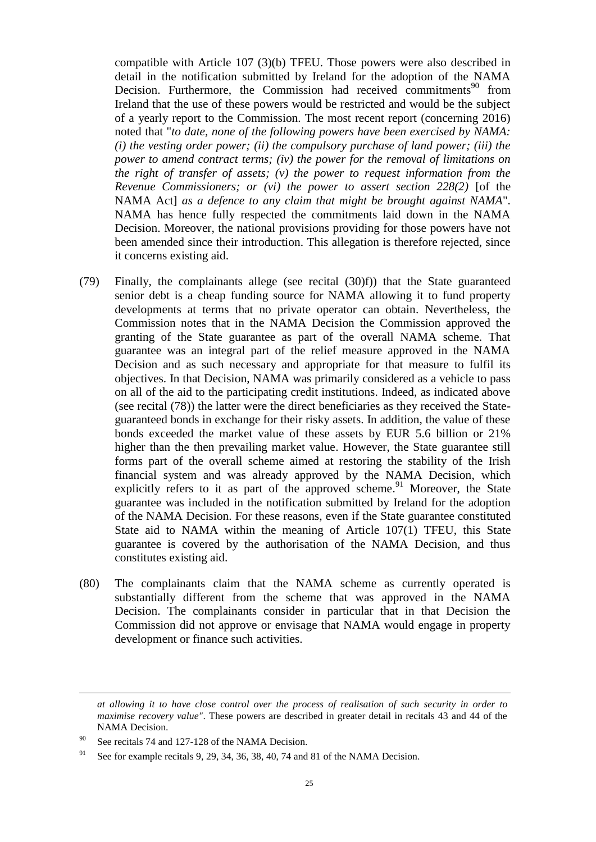compatible with Article 107 (3)(b) TFEU. Those powers were also described in detail in the notification submitted by Ireland for the adoption of the NAMA Decision. Furthermore, the Commission had received commitments<sup>90</sup> from Ireland that the use of these powers would be restricted and would be the subject of a yearly report to the Commission. The most recent report (concerning 2016) noted that "*to date, none of the following powers have been exercised by NAMA: (i) the vesting order power; (ii) the compulsory purchase of land power; (iii) the power to amend contract terms; (iv) the power for the removal of limitations on the right of transfer of assets; (v) the power to request information from the Revenue Commissioners; or (vi) the power to assert section 228(2)* [of the NAMA Act] *as a defence to any claim that might be brought against NAMA*". NAMA has hence fully respected the commitments laid down in the NAMA Decision. Moreover, the national provisions providing for those powers have not been amended since their introduction. This allegation is therefore rejected, since it concerns existing aid.

- (79) Finally, the complainants allege (see recital [\(30\)f\)\)](#page-9-6) that the State guaranteed senior debt is a cheap funding source for NAMA allowing it to fund property developments at terms that no private operator can obtain. Nevertheless, the Commission notes that in the NAMA Decision the Commission approved the granting of the State guarantee as part of the overall NAMA scheme. That guarantee was an integral part of the relief measure approved in the NAMA Decision and as such necessary and appropriate for that measure to fulfil its objectives. In that Decision, NAMA was primarily considered as a vehicle to pass on all of the aid to the participating credit institutions. Indeed, as indicated above (see recital [\(78\)\)](#page-23-0) the latter were the direct beneficiaries as they received the Stateguaranteed bonds in exchange for their risky assets. In addition, the value of these bonds exceeded the market value of these assets by EUR 5.6 billion or 21% higher than the then prevailing market value. However, the State guarantee still forms part of the overall scheme aimed at restoring the stability of the Irish financial system and was already approved by the NAMA Decision, which explicitly refers to it as part of the approved scheme.<sup>91</sup> Moreover, the State guarantee was included in the notification submitted by Ireland for the adoption of the NAMA Decision. For these reasons, even if the State guarantee constituted State aid to NAMA within the meaning of Article 107(1) TFEU, this State guarantee is covered by the authorisation of the NAMA Decision, and thus constitutes existing aid.
- (80) The complainants claim that the NAMA scheme as currently operated is substantially different from the scheme that was approved in the NAMA Decision. The complainants consider in particular that in that Decision the Commission did not approve or envisage that NAMA would engage in property development or finance such activities.

*at allowing it to have close control over the process of realisation of such security in order to maximise recovery value"*. These powers are described in greater detail in recitals 43 and 44 of the NAMA Decision.

<sup>90</sup> See recitals 74 and 127-128 of the NAMA Decision.

<sup>&</sup>lt;sup>91</sup> See for example recitals 9, 29, 34, 36, 38, 40, 74 and 81 of the NAMA Decision.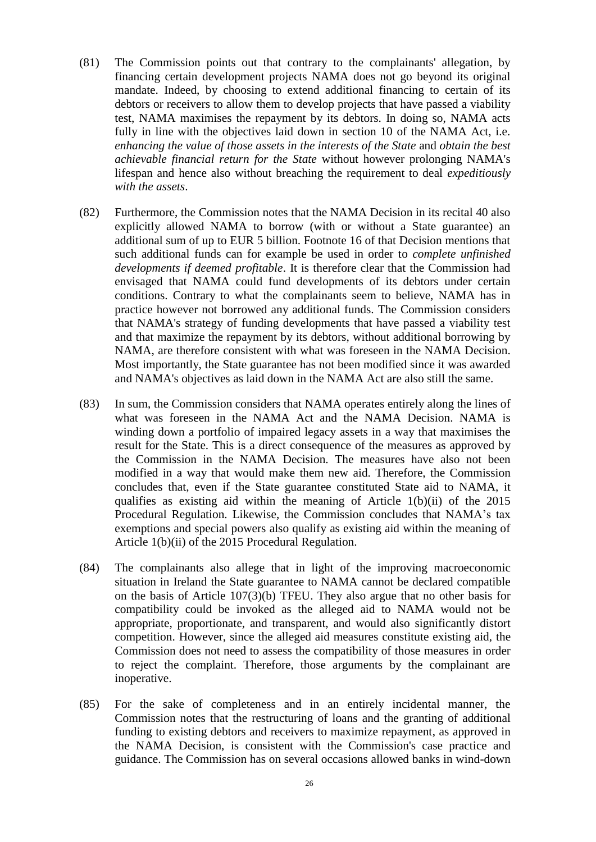- (81) The Commission points out that contrary to the complainants' allegation, by financing certain development projects NAMA does not go beyond its original mandate. Indeed, by choosing to extend additional financing to certain of its debtors or receivers to allow them to develop projects that have passed a viability test, NAMA maximises the repayment by its debtors. In doing so, NAMA acts fully in line with the objectives laid down in section 10 of the NAMA Act, i.e. *enhancing the value of those assets in the interests of the State* and *obtain the best achievable financial return for the State* without however prolonging NAMA's lifespan and hence also without breaching the requirement to deal *expeditiously with the assets*.
- (82) Furthermore, the Commission notes that the NAMA Decision in its recital 40 also explicitly allowed NAMA to borrow (with or without a State guarantee) an additional sum of up to EUR 5 billion. Footnote 16 of that Decision mentions that such additional funds can for example be used in order to *complete unfinished developments if deemed profitable*. It is therefore clear that the Commission had envisaged that NAMA could fund developments of its debtors under certain conditions. Contrary to what the complainants seem to believe, NAMA has in practice however not borrowed any additional funds. The Commission considers that NAMA's strategy of funding developments that have passed a viability test and that maximize the repayment by its debtors, without additional borrowing by NAMA, are therefore consistent with what was foreseen in the NAMA Decision. Most importantly, the State guarantee has not been modified since it was awarded and NAMA's objectives as laid down in the NAMA Act are also still the same.
- (83) In sum, the Commission considers that NAMA operates entirely along the lines of what was foreseen in the NAMA Act and the NAMA Decision. NAMA is winding down a portfolio of impaired legacy assets in a way that maximises the result for the State. This is a direct consequence of the measures as approved by the Commission in the NAMA Decision. The measures have also not been modified in a way that would make them new aid. Therefore, the Commission concludes that, even if the State guarantee constituted State aid to NAMA, it qualifies as existing aid within the meaning of Article  $1(b)(ii)$  of the 2015 Procedural Regulation. Likewise, the Commission concludes that NAMA's tax exemptions and special powers also qualify as existing aid within the meaning of Article 1(b)(ii) of the 2015 Procedural Regulation.
- (84) The complainants also allege that in light of the improving macroeconomic situation in Ireland the State guarantee to NAMA cannot be declared compatible on the basis of Article 107(3)(b) TFEU. They also argue that no other basis for compatibility could be invoked as the alleged aid to NAMA would not be appropriate, proportionate, and transparent, and would also significantly distort competition. However, since the alleged aid measures constitute existing aid, the Commission does not need to assess the compatibility of those measures in order to reject the complaint. Therefore, those arguments by the complainant are inoperative.
- (85) For the sake of completeness and in an entirely incidental manner, the Commission notes that the restructuring of loans and the granting of additional funding to existing debtors and receivers to maximize repayment, as approved in the NAMA Decision, is consistent with the Commission's case practice and guidance. The Commission has on several occasions allowed banks in wind-down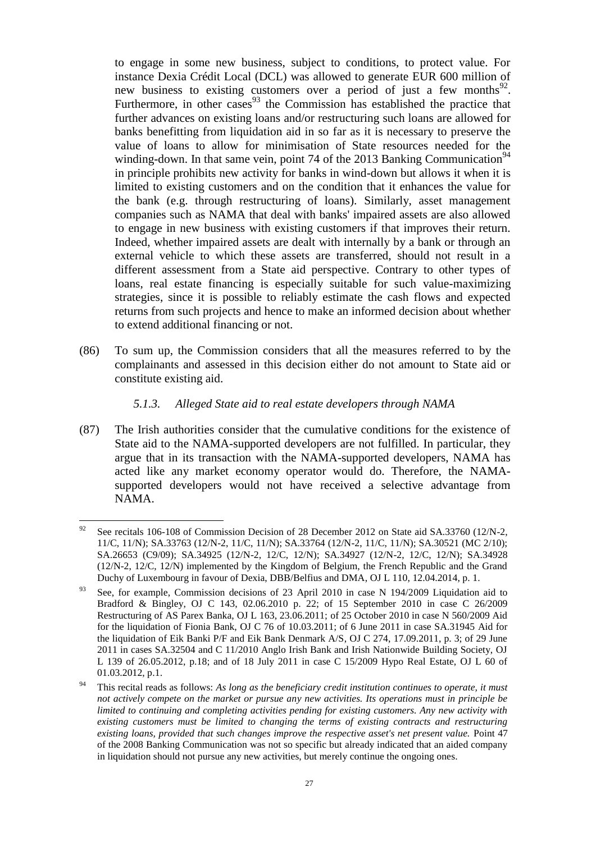to engage in some new business, subject to conditions, to protect value. For instance Dexia Crédit Local (DCL) was allowed to generate EUR 600 million of new business to existing customers over a period of just a few months<sup>92</sup>. Furthermore, in other cases<sup>93</sup> the Commission has established the practice that further advances on existing loans and/or restructuring such loans are allowed for banks benefitting from liquidation aid in so far as it is necessary to preserve the value of loans to allow for minimisation of State resources needed for the winding-down. In that same vein, point 74 of the 2013 Banking Communication<sup>94</sup> in principle prohibits new activity for banks in wind-down but allows it when it is limited to existing customers and on the condition that it enhances the value for the bank (e.g. through restructuring of loans). Similarly, asset management companies such as NAMA that deal with banks' impaired assets are also allowed to engage in new business with existing customers if that improves their return. Indeed, whether impaired assets are dealt with internally by a bank or through an external vehicle to which these assets are transferred, should not result in a different assessment from a State aid perspective. Contrary to other types of loans, real estate financing is especially suitable for such value-maximizing strategies, since it is possible to reliably estimate the cash flows and expected returns from such projects and hence to make an informed decision about whether to extend additional financing or not.

(86) To sum up, the Commission considers that all the measures referred to by the complainants and assessed in this decision either do not amount to State aid or constitute existing aid.

### *5.1.3. Alleged State aid to real estate developers through NAMA*

(87) The Irish authorities consider that the cumulative conditions for the existence of State aid to the NAMA-supported developers are not fulfilled. In particular, they argue that in its transaction with the NAMA-supported developers, NAMA has acted like any market economy operator would do. Therefore, the NAMAsupported developers would not have received a selective advantage from NAMA.

<sup>92</sup> See recitals 106-108 of Commission Decision of 28 December 2012 on State aid SA.33760 (12/N-2, 11/C, 11/N); SA.33763 (12/N-2, 11/C, 11/N); SA.33764 (12/N-2, 11/C, 11/N); SA.30521 (MC 2/10); SA.26653 (C9/09); SA.34925 (12/N-2, 12/C, 12/N); SA.34927 (12/N-2, 12/C, 12/N); SA.34928 (12/N-2, 12/C, 12/N) implemented by the Kingdom of Belgium, the French Republic and the Grand Duchy of Luxembourg in favour of Dexia, DBB/Belfius and DMA, OJ L 110, 12.04.2014, p. 1.

<sup>&</sup>lt;sup>93</sup> See, for example, Commission decisions of 23 April 2010 in case N 194/2009 Liquidation aid to Bradford & Bingley, OJ C 143, 02.06.2010 p. 22; of 15 September 2010 in case C 26/2009 Restructuring of AS Parex Banka, OJ L 163, 23.06.2011; of 25 October 2010 in case N 560/2009 Aid for the liquidation of Fionia Bank, OJ C 76 of 10.03.2011; of 6 June 2011 in case SA.31945 Aid for the liquidation of Eik Banki P/F and Eik Bank Denmark A/S, OJ C 274, 17.09.2011, p. 3; of 29 June 2011 in cases SA.32504 and C 11/2010 Anglo Irish Bank and Irish Nationwide Building Society, OJ L 139 of 26.05.2012, p.18; and of 18 July 2011 in case C 15/2009 Hypo Real Estate, OJ L 60 of 01.03.2012, p.1.

<sup>94</sup> This recital reads as follows: *As long as the beneficiary credit institution continues to operate, it must not actively compete on the market or pursue any new activities. Its operations must in principle be limited to continuing and completing activities pending for existing customers. Any new activity with existing customers must be limited to changing the terms of existing contracts and restructuring existing loans, provided that such changes improve the respective asset's net present value.* Point 47 of the 2008 Banking Communication was not so specific but already indicated that an aided company in liquidation should not pursue any new activities, but merely continue the ongoing ones.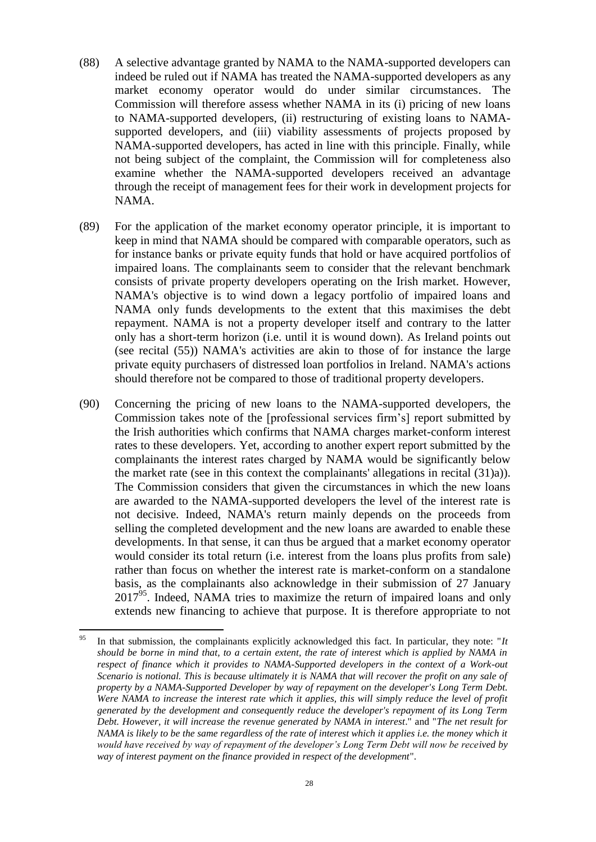- (88) A selective advantage granted by NAMA to the NAMA-supported developers can indeed be ruled out if NAMA has treated the NAMA-supported developers as any market economy operator would do under similar circumstances. The Commission will therefore assess whether NAMA in its (i) pricing of new loans to NAMA-supported developers, (ii) restructuring of existing loans to NAMAsupported developers, and (iii) viability assessments of projects proposed by NAMA-supported developers, has acted in line with this principle. Finally, while not being subject of the complaint, the Commission will for completeness also examine whether the NAMA-supported developers received an advantage through the receipt of management fees for their work in development projects for NAMA.
- <span id="page-27-1"></span>(89) For the application of the market economy operator principle, it is important to keep in mind that NAMA should be compared with comparable operators, such as for instance banks or private equity funds that hold or have acquired portfolios of impaired loans. The complainants seem to consider that the relevant benchmark consists of private property developers operating on the Irish market. However, NAMA's objective is to wind down a legacy portfolio of impaired loans and NAMA only funds developments to the extent that this maximises the debt repayment. NAMA is not a property developer itself and contrary to the latter only has a short-term horizon (i.e. until it is wound down). As Ireland points out (see recital [\(55\)\)](#page-17-0) NAMA's activities are akin to those of for instance the large private equity purchasers of distressed loan portfolios in Ireland. NAMA's actions should therefore not be compared to those of traditional property developers.
- (90) Concerning the pricing of new loans to the NAMA-supported developers, the Commission takes note of the [professional services firm's] report submitted by the Irish authorities which confirms that NAMA charges market-conform interest rates to these developers. Yet, according to another expert report submitted by the complainants the interest rates charged by NAMA would be significantly below the market rate (see in this context the complainants' allegations in recital [\(31\)a\)\)](#page-10-0). The Commission considers that given the circumstances in which the new loans are awarded to the NAMA-supported developers the level of the interest rate is not decisive. Indeed, NAMA's return mainly depends on the proceeds from selling the completed development and the new loans are awarded to enable these developments. In that sense, it can thus be argued that a market economy operator would consider its total return (i.e. interest from the loans plus profits from sale) rather than focus on whether the interest rate is market-conform on a standalone basis, as the complainants also acknowledge in their submission of 27 January 2017<sup>95</sup>. Indeed, NAMA tries to maximize the return of impaired loans and only extends new financing to achieve that purpose. It is therefore appropriate to not

<span id="page-27-0"></span><sup>95</sup> <sup>95</sup> In that submission, the complainants explicitly acknowledged this fact. In particular, they note: "*It should be borne in mind that, to a certain extent, the rate of interest which is applied by NAMA in*  respect of finance which it provides to NAMA-Supported developers in the context of a Work-out *Scenario is notional. This is because ultimately it is NAMA that will recover the profit on any sale of property by a NAMA-Supported Developer by way of repayment on the developer's Long Term Debt. Were NAMA to increase the interest rate which it applies, this will simply reduce the level of profit generated by the development and consequently reduce the developer's repayment of its Long Term Debt. However, it will increase the revenue generated by NAMA in interest*." and "*The net result for NAMA is likely to be the same regardless of the rate of interest which it applies i.e. the money which it would have received by way of repayment of the developer's Long Term Debt will now be received by way of interest payment on the finance provided in respect of the development*".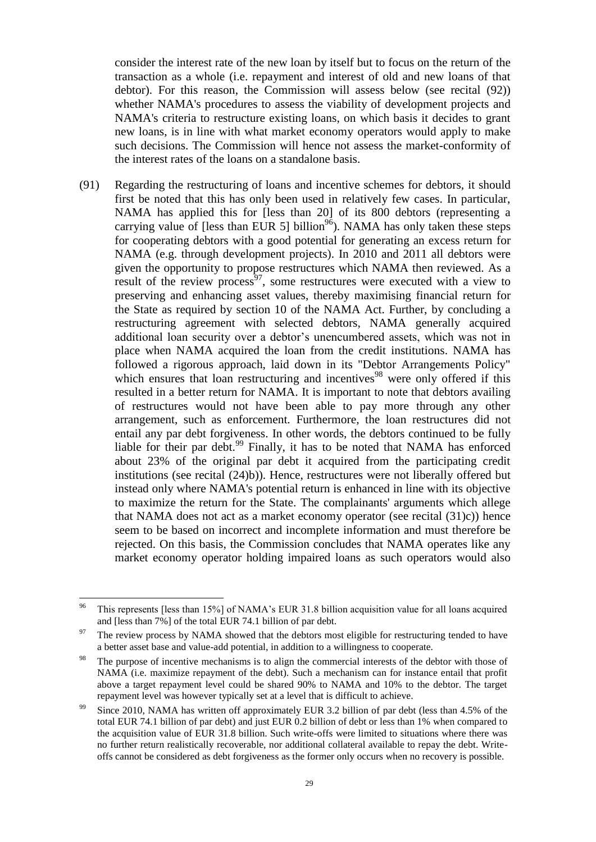consider the interest rate of the new loan by itself but to focus on the return of the transaction as a whole (i.e. repayment and interest of old and new loans of that debtor). For this reason, the Commission will assess below (see recital [\(92\)\)](#page-29-0) whether NAMA's procedures to assess the viability of development projects and NAMA's criteria to restructure existing loans, on which basis it decides to grant new loans, is in line with what market economy operators would apply to make such decisions. The Commission will hence not assess the market-conformity of the interest rates of the loans on a standalone basis.

(91) Regarding the restructuring of loans and incentive schemes for debtors, it should first be noted that this has only been used in relatively few cases. In particular, NAMA has applied this for [less than 20] of its 800 debtors (representing a carrying value of [less than EUR 5] billion<sup>96</sup>). NAMA has only taken these steps for cooperating debtors with a good potential for generating an excess return for NAMA (e.g. through development projects). In 2010 and 2011 all debtors were given the opportunity to propose restructures which NAMA then reviewed. As a result of the review process<sup>97</sup>, some restructures were executed with a view to preserving and enhancing asset values, thereby maximising financial return for the State as required by section 10 of the NAMA Act. Further, by concluding a restructuring agreement with selected debtors, NAMA generally acquired additional loan security over a debtor's unencumbered assets, which was not in place when NAMA acquired the loan from the credit institutions. NAMA has followed a rigorous approach, laid down in its "Debtor Arrangements Policy" which ensures that loan restructuring and incentives<sup>98</sup> were only offered if this resulted in a better return for NAMA. It is important to note that debtors availing of restructures would not have been able to pay more through any other arrangement, such as enforcement. Furthermore, the loan restructures did not entail any par debt forgiveness. In other words, the debtors continued to be fully liable for their par debt.<sup>99</sup> Finally, it has to be noted that NAMA has enforced about 23% of the original par debt it acquired from the participating credit institutions (see recital [\(24\)b\)\)](#page-5-1). Hence, restructures were not liberally offered but instead only where NAMA's potential return is enhanced in line with its objective to maximize the return for the State. The complainants' arguments which allege that NAMA does not act as a market economy operator (see recital [\(31\)c\)\)](#page-10-1) hence seem to be based on incorrect and incomplete information and must therefore be rejected. On this basis, the Commission concludes that NAMA operates like any market economy operator holding impaired loans as such operators would also

<span id="page-28-0"></span><sup>96</sup> This represents [less than 15%] of NAMA's EUR 31.8 billion acquisition value for all loans acquired and [less than 7%] of the total EUR 74.1 billion of par debt.

The review process by NAMA showed that the debtors most eligible for restructuring tended to have a better asset base and value-add potential, in addition to a willingness to cooperate.

The purpose of incentive mechanisms is to align the commercial interests of the debtor with those of NAMA (i.e. maximize repayment of the debt). Such a mechanism can for instance entail that profit above a target repayment level could be shared 90% to NAMA and 10% to the debtor. The target repayment level was however typically set at a level that is difficult to achieve.

Since 2010, NAMA has written off approximately EUR 3.2 billion of par debt (less than 4.5% of the total EUR 74.1 billion of par debt) and just EUR 0.2 billion of debt or less than 1% when compared to the acquisition value of EUR 31.8 billion. Such write-offs were limited to situations where there was no further return realistically recoverable, nor additional collateral available to repay the debt. Writeoffs cannot be considered as debt forgiveness as the former only occurs when no recovery is possible.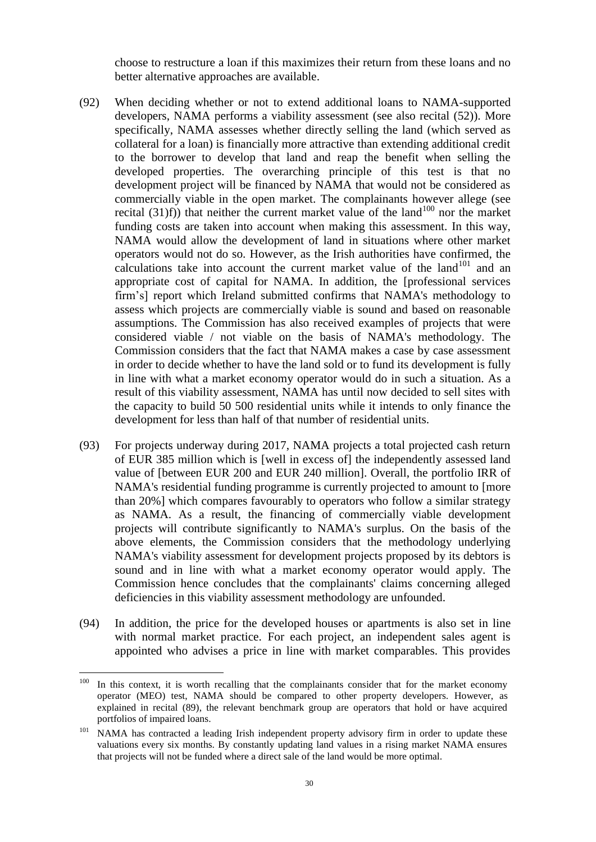choose to restructure a loan if this maximizes their return from these loans and no better alternative approaches are available.

- <span id="page-29-0"></span>(92) When deciding whether or not to extend additional loans to NAMA-supported developers, NAMA performs a viability assessment (see also recital [\(52\)\)](#page-15-0). More specifically, NAMA assesses whether directly selling the land (which served as collateral for a loan) is financially more attractive than extending additional credit to the borrower to develop that land and reap the benefit when selling the developed properties. The overarching principle of this test is that no development project will be financed by NAMA that would not be considered as commercially viable in the open market. The complainants however allege (see recital  $(31)f$ ) that neither the current market value of the land<sup>100</sup> nor the market funding costs are taken into account when making this assessment. In this way, NAMA would allow the development of land in situations where other market operators would not do so. However, as the Irish authorities have confirmed, the calculations take into account the current market value of the land<sup>101</sup> and an appropriate cost of capital for NAMA. In addition, the [professional services firm's] report which Ireland submitted confirms that NAMA's methodology to assess which projects are commercially viable is sound and based on reasonable assumptions. The Commission has also received examples of projects that were considered viable / not viable on the basis of NAMA's methodology. The Commission considers that the fact that NAMA makes a case by case assessment in order to decide whether to have the land sold or to fund its development is fully in line with what a market economy operator would do in such a situation. As a result of this viability assessment, NAMA has until now decided to sell sites with the capacity to build 50 500 residential units while it intends to only finance the development for less than half of that number of residential units.
- (93) For projects underway during 2017, NAMA projects a total projected cash return of EUR 385 million which is [well in excess of] the independently assessed land value of [between EUR 200 and EUR 240 million]. Overall, the portfolio IRR of NAMA's residential funding programme is currently projected to amount to [more than 20%] which compares favourably to operators who follow a similar strategy as NAMA. As a result, the financing of commercially viable development projects will contribute significantly to NAMA's surplus. On the basis of the above elements, the Commission considers that the methodology underlying NAMA's viability assessment for development projects proposed by its debtors is sound and in line with what a market economy operator would apply. The Commission hence concludes that the complainants' claims concerning alleged deficiencies in this viability assessment methodology are unfounded.
- (94) In addition, the price for the developed houses or apartments is also set in line with normal market practice. For each project, an independent sales agent is appointed who advises a price in line with market comparables. This provides

<sup>100</sup> In this context, it is worth recalling that the complainants consider that for the market economy operator (MEO) test, NAMA should be compared to other property developers. However, as explained in recital [\(89\),](#page-27-1) the relevant benchmark group are operators that hold or have acquired portfolios of impaired loans.

<sup>&</sup>lt;sup>101</sup> NAMA has contracted a leading Irish independent property advisory firm in order to update these valuations every six months. By constantly updating land values in a rising market NAMA ensures that projects will not be funded where a direct sale of the land would be more optimal.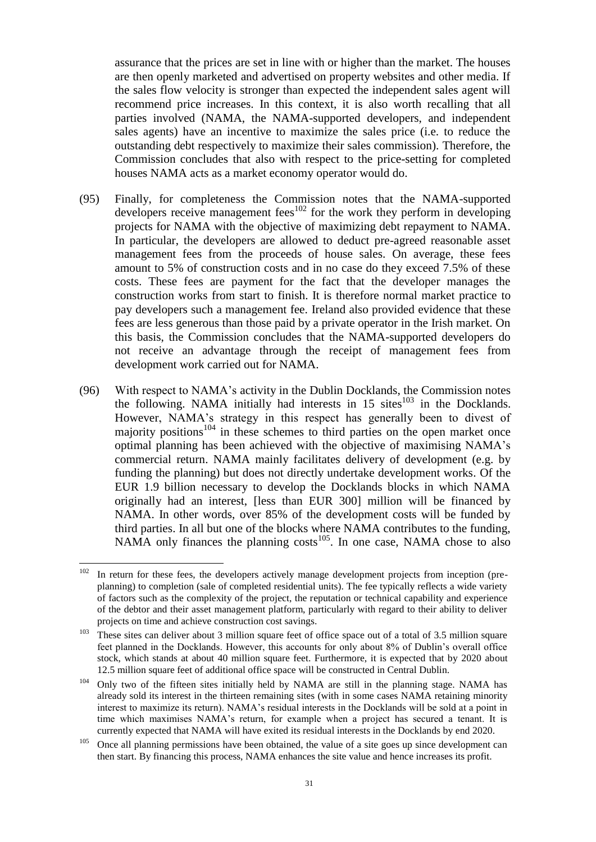assurance that the prices are set in line with or higher than the market. The houses are then openly marketed and advertised on property websites and other media. If the sales flow velocity is stronger than expected the independent sales agent will recommend price increases. In this context, it is also worth recalling that all parties involved (NAMA, the NAMA-supported developers, and independent sales agents) have an incentive to maximize the sales price (i.e. to reduce the outstanding debt respectively to maximize their sales commission). Therefore, the Commission concludes that also with respect to the price-setting for completed houses NAMA acts as a market economy operator would do.

- (95) Finally, for completeness the Commission notes that the NAMA-supported developers receive management fees<sup>102</sup> for the work they perform in developing projects for NAMA with the objective of maximizing debt repayment to NAMA. In particular, the developers are allowed to deduct pre-agreed reasonable asset management fees from the proceeds of house sales. On average, these fees amount to 5% of construction costs and in no case do they exceed 7.5% of these costs. These fees are payment for the fact that the developer manages the construction works from start to finish. It is therefore normal market practice to pay developers such a management fee. Ireland also provided evidence that these fees are less generous than those paid by a private operator in the Irish market. On this basis, the Commission concludes that the NAMA-supported developers do not receive an advantage through the receipt of management fees from development work carried out for NAMA.
- <span id="page-30-0"></span>(96) With respect to NAMA's activity in the Dublin Docklands, the Commission notes the following. NAMA initially had interests in  $15 \text{ sites}^{103}$  in the Docklands. However, NAMA's strategy in this respect has generally been to divest of majority positions $104$  in these schemes to third parties on the open market once optimal planning has been achieved with the objective of maximising NAMA's commercial return. NAMA mainly facilitates delivery of development (e.g. by funding the planning) but does not directly undertake development works. Of the EUR 1.9 billion necessary to develop the Docklands blocks in which NAMA originally had an interest, [less than EUR 300] million will be financed by NAMA. In other words, over 85% of the development costs will be funded by third parties. In all but one of the blocks where NAMA contributes to the funding, NAMA only finances the planning costs<sup>105</sup>. In one case, NAMA chose to also

<sup>102</sup> In return for these fees, the developers actively manage development projects from inception (preplanning) to completion (sale of completed residential units). The fee typically reflects a wide variety of factors such as the complexity of the project, the reputation or technical capability and experience of the debtor and their asset management platform, particularly with regard to their ability to deliver projects on time and achieve construction cost savings.

<sup>&</sup>lt;sup>103</sup> These sites can deliver about 3 million square feet of office space out of a total of 3.5 million square feet planned in the Docklands. However, this accounts for only about 8% of Dublin's overall office stock, which stands at about 40 million square feet. Furthermore, it is expected that by 2020 about 12.5 million square feet of additional office space will be constructed in Central Dublin.

 $104$  Only two of the fifteen sites initially held by NAMA are still in the planning stage. NAMA has already sold its interest in the thirteen remaining sites (with in some cases NAMA retaining minority interest to maximize its return). NAMA's residual interests in the Docklands will be sold at a point in time which maximises NAMA's return, for example when a project has secured a tenant. It is currently expected that NAMA will have exited its residual interests in the Docklands by end 2020.

 $105$  Once all planning permissions have been obtained, the value of a site goes up since development can then start. By financing this process, NAMA enhances the site value and hence increases its profit.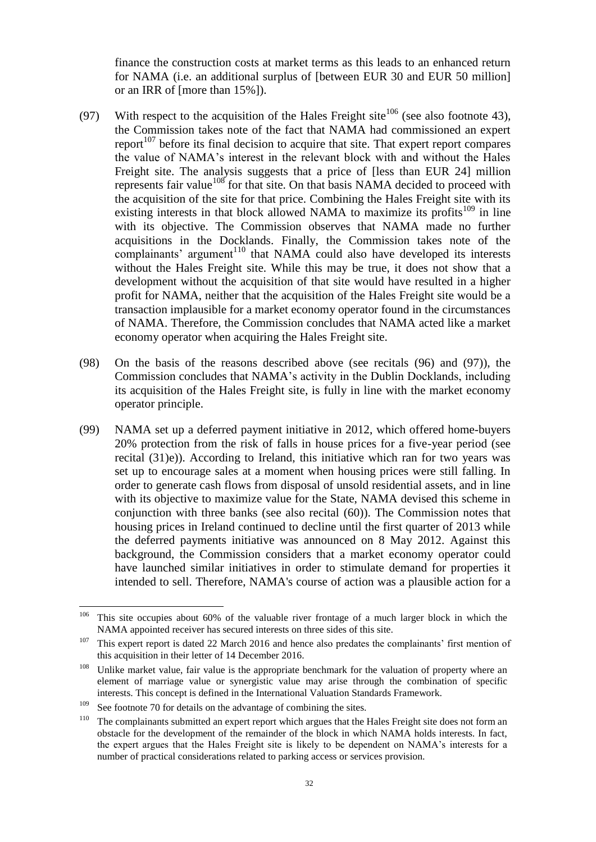finance the construction costs at market terms as this leads to an enhanced return for NAMA (i.e. an additional surplus of [between EUR 30 and EUR 50 million] or an IRR of [more than 15%]).

- <span id="page-31-0"></span>(97) With respect to the acquisition of the Hales Freight site<sup>106</sup> (see also footnote [43\)](#page-11-1), the Commission takes note of the fact that NAMA had commissioned an expert report<sup> $107$ </sup> before its final decision to acquire that site. That expert report compares the value of NAMA's interest in the relevant block with and without the Hales Freight site. The analysis suggests that a price of [less than EUR 24] million represents fair value<sup>108</sup> for that site. On that basis NAMA decided to proceed with the acquisition of the site for that price. Combining the Hales Freight site with its existing interests in that block allowed NAMA to maximize its profits<sup>109</sup> in line with its objective. The Commission observes that NAMA made no further acquisitions in the Docklands. Finally, the Commission takes note of the complainants' argument<sup>110</sup> that NAMA could also have developed its interests without the Hales Freight site. While this may be true, it does not show that a development without the acquisition of that site would have resulted in a higher profit for NAMA, neither that the acquisition of the Hales Freight site would be a transaction implausible for a market economy operator found in the circumstances of NAMA. Therefore, the Commission concludes that NAMA acted like a market economy operator when acquiring the Hales Freight site.
- (98) On the basis of the reasons described above (see recitals [\(96\)](#page-30-0) and [\(97\)\)](#page-31-0), the Commission concludes that NAMA's activity in the Dublin Docklands, including its acquisition of the Hales Freight site, is fully in line with the market economy operator principle.
- (99) NAMA set up a deferred payment initiative in 2012, which offered home-buyers 20% protection from the risk of falls in house prices for a five-year period (see recital [\(31\)e\)\)](#page-10-3). According to Ireland, this initiative which ran for two years was set up to encourage sales at a moment when housing prices were still falling. In order to generate cash flows from disposal of unsold residential assets, and in line with its objective to maximize value for the State, NAMA devised this scheme in conjunction with three banks (see also recital [\(60\)\)](#page-18-0). The Commission notes that housing prices in Ireland continued to decline until the first quarter of 2013 while the deferred payments initiative was announced on 8 May 2012. Against this background, the Commission considers that a market economy operator could have launched similar initiatives in order to stimulate demand for properties it intended to sell. Therefore, NAMA's course of action was a plausible action for a

<sup>106</sup> This site occupies about 60% of the valuable river frontage of a much larger block in which the NAMA appointed receiver has secured interests on three sides of this site.

 $107$  This expert report is dated 22 March 2016 and hence also predates the complainants' first mention of this acquisition in their letter of 14 December 2016.

 $108$  Unlike market value, fair value is the appropriate benchmark for the valuation of property where an element of marriage value or synergistic value may arise through the combination of specific interests. This concept is defined in the International Valuation Standards Framework.

<sup>&</sup>lt;sup>109</sup> See footnote [70](#page-18-1) for details on the advantage of combining the sites.

 $110$  The complainants submitted an expert report which argues that the Hales Freight site does not form an obstacle for the development of the remainder of the block in which NAMA holds interests. In fact, the expert argues that the Hales Freight site is likely to be dependent on NAMA's interests for a number of practical considerations related to parking access or services provision.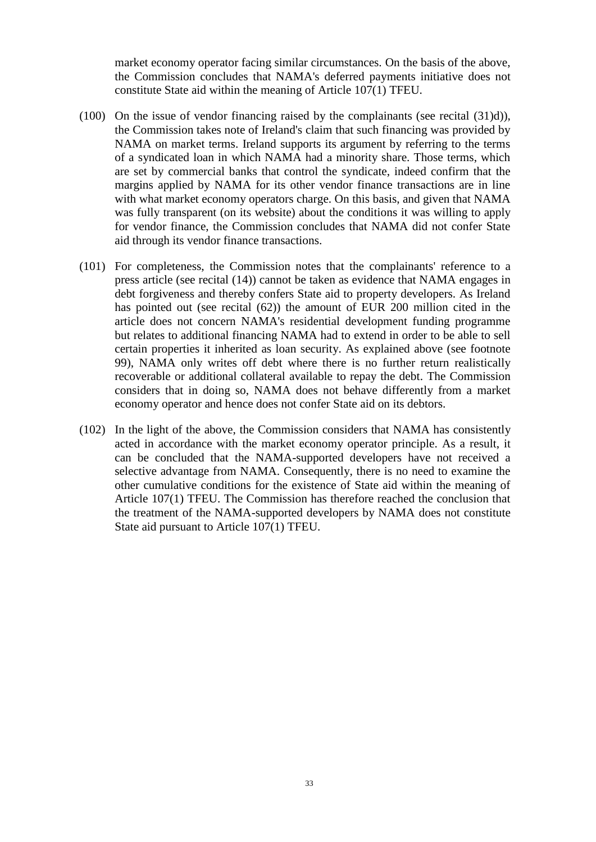market economy operator facing similar circumstances. On the basis of the above, the Commission concludes that NAMA's deferred payments initiative does not constitute State aid within the meaning of Article 107(1) TFEU.

- (100) On the issue of vendor financing raised by the complainants (see recital [\(31\)d\)\)](#page-10-4), the Commission takes note of Ireland's claim that such financing was provided by NAMA on market terms. Ireland supports its argument by referring to the terms of a syndicated loan in which NAMA had a minority share. Those terms, which are set by commercial banks that control the syndicate, indeed confirm that the margins applied by NAMA for its other vendor finance transactions are in line with what market economy operators charge. On this basis, and given that NAMA was fully transparent (on its website) about the conditions it was willing to apply for vendor finance, the Commission concludes that NAMA did not confer State aid through its vendor finance transactions.
- (101) For completeness, the Commission notes that the complainants' reference to a press article (see recital [\(14\)\)](#page-2-0) cannot be taken as evidence that NAMA engages in debt forgiveness and thereby confers State aid to property developers. As Ireland has pointed out (see recital [\(62\)\)](#page-19-1) the amount of EUR 200 million cited in the article does not concern NAMA's residential development funding programme but relates to additional financing NAMA had to extend in order to be able to sell certain properties it inherited as loan security. As explained above (see footnote [99\)](#page-28-0), NAMA only writes off debt where there is no further return realistically recoverable or additional collateral available to repay the debt. The Commission considers that in doing so, NAMA does not behave differently from a market economy operator and hence does not confer State aid on its debtors.
- (102) In the light of the above, the Commission considers that NAMA has consistently acted in accordance with the market economy operator principle. As a result, it can be concluded that the NAMA-supported developers have not received a selective advantage from NAMA. Consequently, there is no need to examine the other cumulative conditions for the existence of State aid within the meaning of Article 107(1) TFEU. The Commission has therefore reached the conclusion that the treatment of the NAMA-supported developers by NAMA does not constitute State aid pursuant to Article 107(1) TFEU.